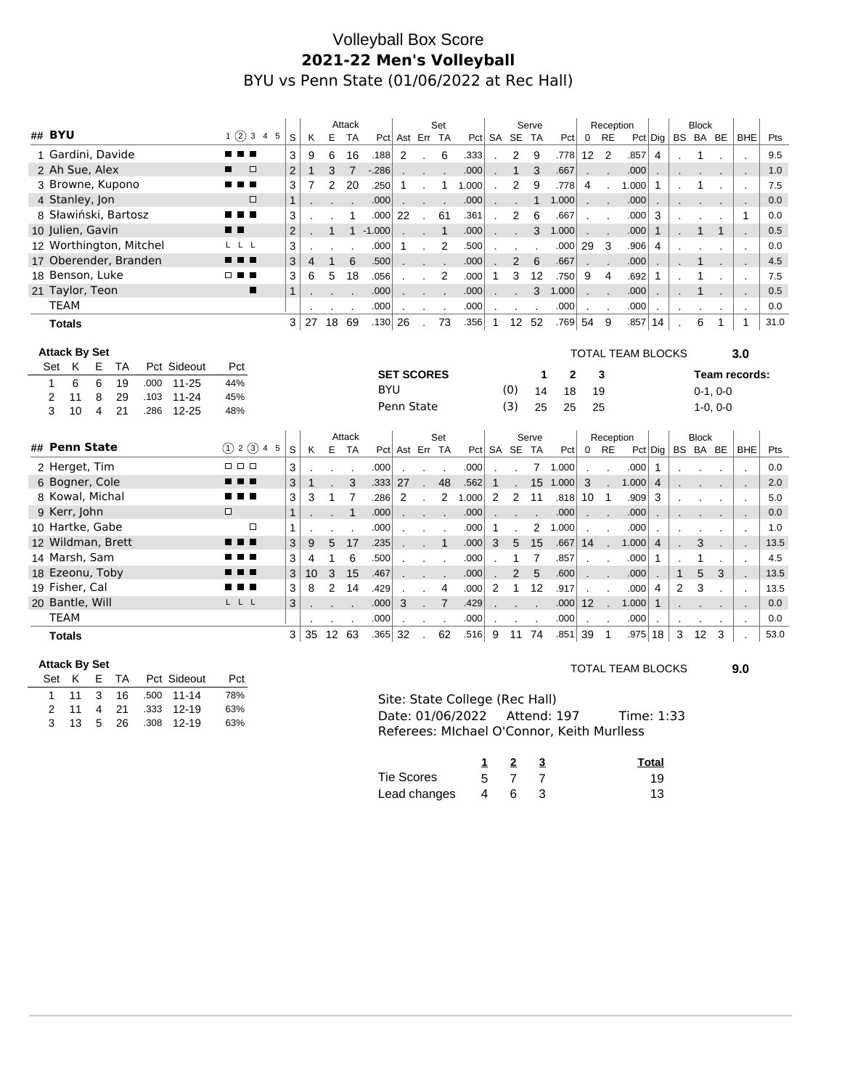# Volleyball Box Score **2021-22 Men's Volleyball** BYU vs Penn State (01/06/2022 at Rec Hall)

| ## BYU               |               |                      |                         |      |  |             |        |               |  |                | Attack         |              |                |             |                   | Set                      |                |       | Serve        |                  |                 | Reception    |                 |                          | <b>Block</b><br>BS BA BE |                |              |              |                          |                          |      |
|----------------------|---------------|----------------------|-------------------------|------|--|-------------|--------|---------------|--|----------------|----------------|--------------|----------------|-------------|-------------------|--------------------------|----------------|-------|--------------|------------------|-----------------|--------------|-----------------|--------------------------|--------------------------|----------------|--------------|--------------|--------------------------|--------------------------|------|
|                      |               |                      |                         |      |  |             |        | 1(2)345       |  | S              | K              | E            | <b>TA</b>      |             | Pct Ast Err TA    |                          |                |       |              | Pct SA SE        | <b>TA</b>       | Pct          | $\mathbf 0$     | <b>RE</b>                |                          | $Pct$ Dig      |              |              |                          | <b>BHE</b>               | Pts  |
|                      |               |                      | 1 Gardini, Davide       |      |  |             | .      |               |  | 3              | 9              | 6            | 16             | .188        | 2                 | $\overline{\phantom{a}}$ | 6              | .333  |              | 2                | 9               | .778         | 12 <sup>°</sup> | $\overline{2}$           | .857                     | 4              |              | -1           | $\blacksquare$           | $\cdot$                  | 9.5  |
|                      |               | 2 Ah Sue, Alex       |                         |      |  |             | п      | $\Box$        |  | $\overline{2}$ | $\mathbf{1}$   | 3            | $\overline{7}$ | $-286$      |                   |                          |                | .000  |              | $\mathbf{1}$     | 3               | .667         |                 | $\sim$                   | .000                     |                |              |              |                          |                          | 1.0  |
|                      |               |                      | 3 Browne, Kupono        |      |  |             |        |               |  | 3              | 7              | 2            | 20             | .250        | 1                 | $\ddot{\phantom{a}}$     | $\mathbf{1}$   | 1.000 |              | 2                | 9               | .778         | 4               | $\overline{\phantom{a}}$ | 1.000                    | $\mathbf{1}$   |              | 1            |                          |                          | 7.5  |
|                      |               | 4 Stanley, Jon       |                         |      |  |             |        | $\Box$        |  | $\mathbf{1}$   |                |              |                | .000        |                   |                          |                | .000  |              |                  | $\mathbf{1}$    | 1.000        |                 |                          | .000                     |                |              |              |                          |                          | 0.0  |
|                      |               |                      | 8 Sławiński, Bartosz    |      |  |             |        | <b>In</b>     |  | 3              |                |              |                | .000        | 22                |                          | 61             | .361  |              | $\boldsymbol{2}$ | 6               | .667         |                 |                          | .000                     | 3              |              |              |                          | $\mathbf{1}$             | 0.0  |
|                      |               | 10 Julien, Gavin     |                         |      |  |             | . .    |               |  | $\overline{2}$ |                | $\mathbf{1}$ |                | $1 - 1.000$ |                   | i.                       | $\overline{1}$ | .000  |              |                  | 3               | 1.000        |                 |                          | .000                     | $\mathbf{1}$   |              | $\mathbf{1}$ | $\mathbf{1}$             |                          | 0.5  |
|                      |               |                      | 12 Worthington, Mitchel |      |  |             |        | LLL           |  | 3              |                |              |                | .000        | $\mathbf{1}$      |                          | 2              | .500  |              |                  |                 | .000         | 29              | $\mathbf{3}$             | .906                     | 4              |              |              |                          | $\cdot$                  | 0.0  |
|                      |               |                      | 17 Oberender, Branden   |      |  |             |        | .             |  | 3              | $\overline{4}$ | $\mathbf{1}$ | 6              | .500        |                   |                          |                | .000  |              | $\overline{2}$   | $6\phantom{1}6$ | .667         |                 |                          | .000                     |                |              | 1            |                          |                          | 4.5  |
|                      |               | 18 Benson, Luke      |                         |      |  |             |        | □■■           |  | 3              | 6              | 5            | 18             | .056        |                   | $\sim$                   | $\overline{2}$ | .000  | $\mathbf 1$  | 3                | 12              | .750         | 9               | $\overline{4}$           | .692                     | 1              |              | 1            | $\overline{\phantom{a}}$ | $\cdot$                  | 7.5  |
|                      |               | 21 Taylor, Teon      |                         |      |  |             |        | ▬             |  | $\mathbf{1}$   |                |              |                | .000        |                   |                          |                | .000  |              |                  | 3               | 1.000        |                 |                          | .000                     |                |              | 1            |                          |                          | 0.5  |
|                      | <b>TEAM</b>   |                      |                         |      |  |             |        |               |  |                |                |              |                | .000        |                   |                          |                | .000  |              |                  |                 | .000         | $\blacksquare$  |                          | .000                     |                |              |              |                          | $\blacksquare$           | 0.0  |
|                      | <b>Totals</b> |                      |                         |      |  |             |        |               |  | 3              | 27             | 18           | 69             | .130        | 26                | $\mathcal{L}$            | 73             | .356  | $\mathbf{1}$ | 12 52            |                 | .769         | 54              | 9                        | $.857$ 14                |                |              | 6            | 1                        | $\mathbf 1$              | 31.0 |
|                      |               |                      |                         |      |  |             |        |               |  |                |                |              |                |             |                   |                          |                |       |              |                  |                 |              |                 |                          |                          |                |              |              |                          |                          |      |
|                      |               | <b>Attack By Set</b> |                         |      |  |             |        |               |  |                |                |              |                |             |                   |                          |                |       |              |                  |                 |              |                 |                          | <b>TOTAL TEAM BLOCKS</b> |                |              |              |                          | 3.0                      |      |
| Set                  | Κ             | Е                    | TA                      |      |  | Pct Sideout | Pct    |               |  |                |                |              |                |             | <b>SET SCORES</b> |                          |                |       |              |                  | 1               | $\mathbf{2}$ |                 | 3                        |                          |                |              |              |                          | Team records:            |      |
| 1                    | 6             | 6                    | 19                      | .000 |  | $11 - 25$   | 44%    |               |  |                |                |              |                | <b>BYU</b>  |                   |                          |                |       |              | (0)              | 14              | 18           | 19              |                          |                          |                |              |              | $0-1, 0-0$               |                          |      |
| 2                    | 11            | 8                    | 29                      | .103 |  | $11 - 24$   | 45%    |               |  |                |                |              |                |             | Penn State        |                          |                |       |              | (3)              | 25              | 25           | 25              |                          |                          |                |              |              | $1-0, 0-0$               |                          |      |
| 3                    | 10            | 4                    | 21                      | .286 |  | $12 - 25$   | 48%    |               |  |                |                |              |                |             |                   |                          |                |       |              |                  |                 |              |                 |                          |                          |                |              |              |                          |                          |      |
|                      |               |                      |                         |      |  |             |        |               |  |                |                |              | Attack         |             |                   |                          | Set            |       |              |                  | Serve           |              |                 | Reception                |                          |                |              | <b>Block</b> |                          |                          |      |
|                      |               | ## Penn State        |                         |      |  |             |        | (1) 2 (3) 4 5 |  | S              | K              | E            | <b>TA</b>      |             | Pct Ast Err TA    |                          |                |       |              | Pct SA SE TA     |                 | Pct          |                 | $0$ RE                   |                          | Pct Dig        |              | BS BA BE     |                          | <b>BHE</b>               | Pts  |
|                      |               | 2 Herget, Tim        |                         |      |  |             |        | <b>.</b>      |  | 3              |                |              |                | .000        |                   |                          | $\blacksquare$ | .000  |              |                  | $\overline{7}$  | 1.000        |                 |                          | .000                     | 1              |              |              |                          | $\cdot$                  | 0.0  |
|                      |               | 6 Bogner, Cole       |                         |      |  |             |        |               |  | 3              |                |              | 3              | .333        | 27                |                          | 48             | .562  |              |                  | 15              | 1.000        | 3               |                          | 1.000                    | 4              |              |              |                          | $\sim$                   | 2.0  |
|                      |               | 8 Kowal, Michal      |                         |      |  |             |        | . .           |  | 3              | 3              | 1            | 7              | .286        | 2                 |                          | 2              | 1.000 | 2            | $\overline{2}$   | 11              | .818         | 10 <sub>1</sub> |                          | .909                     | 3              |              |              |                          | $\blacksquare$           | 5.0  |
|                      | 9 Kerr, John  |                      |                         |      |  |             | $\Box$ |               |  | $\mathbf{1}$   |                |              | $\mathbf{1}$   | .000        |                   | J.                       | $\sim$         | .000  |              |                  |                 | .000         |                 |                          | .000                     |                |              |              |                          |                          | 0.0  |
|                      |               | 10 Hartke, Gabe      |                         |      |  |             |        | □             |  | 1              |                |              |                | .000        |                   |                          |                | .000  | 1            |                  | 2               | 1.000        |                 |                          | .000                     |                |              |              |                          |                          | 1.0  |
|                      |               |                      | 12 Wildman, Brett       |      |  |             |        | .             |  | 3              | 9              | 5            | 17             | .235        |                   |                          | $\mathbf{1}$   | .000  | 3            | 5                | 15              | .667         | 14              |                          | 1.000                    | $\overline{4}$ |              | 3            |                          |                          | 13.5 |
|                      |               | 14 Marsh, Sam        |                         |      |  |             |        | . .           |  | 3              | 4              | 1            | 6              | .500        |                   | $\overline{\phantom{a}}$ |                | .000  |              | 1                | $\overline{7}$  | .857         | $\mathbf{r}$    | $\overline{\phantom{a}}$ | .000                     | $\mathbf{1}$   |              | 1            |                          | $\blacksquare$           | 4.5  |
|                      |               | 18 Ezeonu, Toby      |                         |      |  |             |        | . .           |  | 3              | 10             | 3            | 15             | .467        |                   |                          |                | .000  |              | $\overline{2}$   | 5               | .600         | $\mathbf{r}$    |                          | .000                     |                | $\mathbf{1}$ | 5            | 3                        | $\sim$                   | 13.5 |
|                      |               | 19 Fisher, Cal       |                         |      |  |             |        | . .           |  | 3              | 8              | 2            | 14             | .429        |                   |                          | 4              | .000  | 2            | $\mathbf{1}$     | 12              | .917         | $\mathbf{r}$    | $\overline{\phantom{a}}$ | .000                     | 4              | 2            | 3            |                          |                          | 13.5 |
|                      |               | 20 Bantle, Will      |                         |      |  |             | LLL    |               |  | 3              |                |              |                | .000        | 3                 | $\sim$                   | $\overline{7}$ | .429  |              |                  |                 | .000         | 12 <sup>2</sup> | $\sim$                   | 1.000                    | $\mathbf{1}$   |              |              |                          | $\overline{\phantom{a}}$ | 0.0  |
|                      | <b>TEAM</b>   |                      |                         |      |  |             |        |               |  |                |                |              |                | .000        |                   | $\blacksquare$           | $\blacksquare$ | .000  | $\cdot$      |                  |                 | .000         | $\mathbf{r}$    |                          | .000                     | $\blacksquare$ |              |              |                          | $\cdot$                  | 0.0  |
|                      | <b>Totals</b> |                      |                         |      |  |             |        |               |  | 3 <sup>1</sup> | 35             |              | 12 63          | $.365$ 32   |                   |                          | 62             | .516  | 9            |                  | 11 74           | .851 39      |                 | $\overline{1}$           | $.975 \,   \, 18$        |                | 3            | 12           | 3                        |                          | 53.0 |
|                      |               |                      |                         |      |  |             |        |               |  |                |                |              |                |             |                   |                          |                |       |              |                  |                 |              |                 |                          |                          |                |              |              |                          |                          |      |
| <b>Attack By Set</b> |               |                      |                         |      |  |             |        |               |  |                |                |              |                |             |                   |                          |                |       |              |                  |                 |              |                 |                          | TOTAL TEAM DI OCKS       |                |              |              |                          | n n                      |      |

|  |  | <b>Pct</b>                                                                                     |
|--|--|------------------------------------------------------------------------------------------------|
|  |  | 78%                                                                                            |
|  |  | 63%                                                                                            |
|  |  | 63%                                                                                            |
|  |  | Set K E TA Pct Sideout<br>1 11 3 16 .500 11-14<br>2 11 4 21 .333 12-19<br>3 13 5 26 .308 12-19 |

#### TOTAL TEAM BLOCKS **9.0**

Site: State College (Rec Hall) Date: 01/06/2022 Attend: 197 Time: 1:33 Referees: MIchael O'Connor, Keith Murlless

|              |           |  | Total |
|--------------|-----------|--|-------|
| Tie Scores   | 5.        |  | 19    |
| Lead changes | $4 \cdot$ |  | 13    |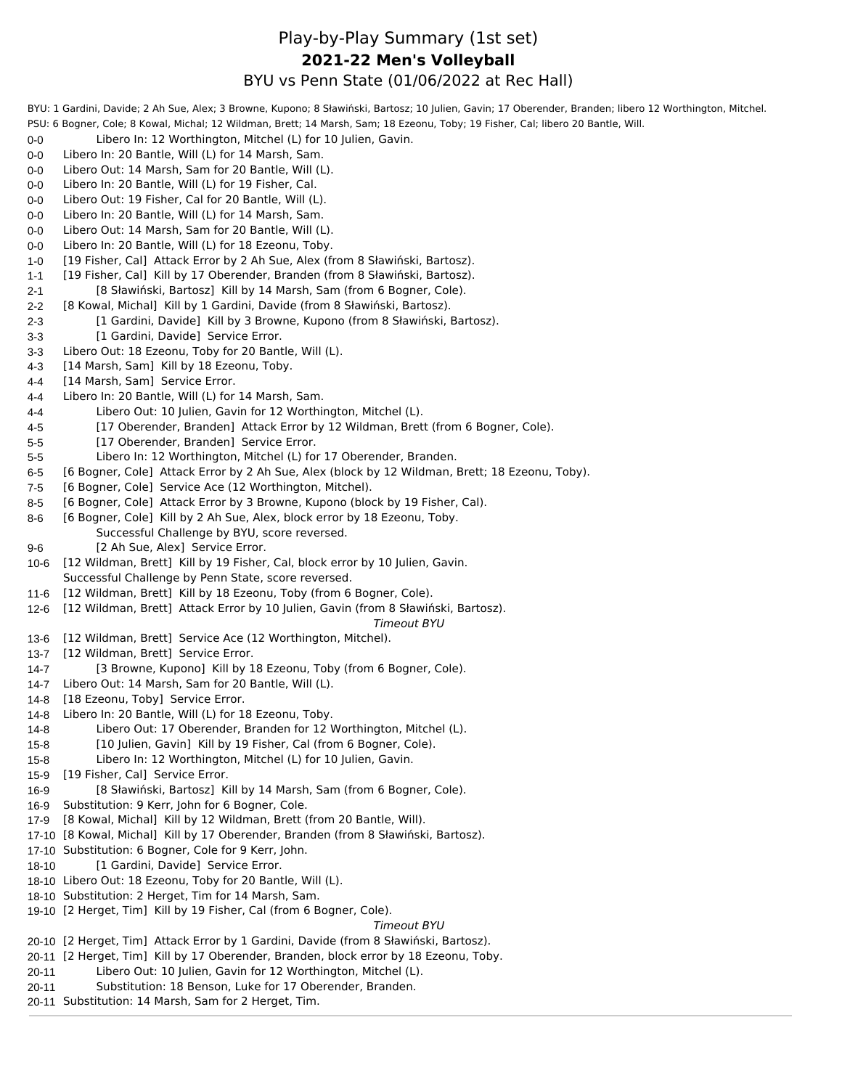#### Play-by-Play Summary (1st set) BYU vs Penn State (01/06/2022 at Rec Hall) **2021-22 Men's Volleyball**

BYU: 1 Gardini, Davide; 2 Ah Sue, Alex; 3 Browne, Kupono; 8 Sławiński, Bartosz; 10 Julien, Gavin; 17 Oberender, Branden; libero 12 Worthington, Mitchel. PSU: 6 Bogner, Cole; 8 Kowal, Michal; 12 Wildman, Brett; 14 Marsh, Sam; 18 Ezeonu, Toby; 19 Fisher, Cal; libero 20 Bantle, Will.

- 0-0 Libero In: 12 Worthington, Mitchel (L) for 10 Julien, Gavin.
- 0-0 Libero In: 20 Bantle, Will (L) for 14 Marsh, Sam.
- 0-0 Libero Out: 14 Marsh, Sam for 20 Bantle, Will (L).
- 0-0 Libero In: 20 Bantle, Will (L) for 19 Fisher, Cal.
- 0-0 Libero Out: 19 Fisher, Cal for 20 Bantle, Will (L).
- 0-0 Libero In: 20 Bantle, Will (L) for 14 Marsh, Sam.
- 0-0 Libero Out: 14 Marsh, Sam for 20 Bantle, Will (L).
- 0-0 Libero In: 20 Bantle, Will (L) for 18 Ezeonu, Toby.
- 1-0 [19 Fisher, Cal] Attack Error by 2 Ah Sue, Alex (from 8 Sławiński, Bartosz).
- 1-1 [19 Fisher, Cal] Kill by 17 Oberender, Branden (from 8 Sławiński, Bartosz).
- 2-1 [8 Sławiński, Bartosz] Kill by 14 Marsh, Sam (from 6 Bogner, Cole).
- 2-2 [8 Kowal, Michal] Kill by 1 Gardini, Davide (from 8 Sławiński, Bartosz).
- 2-3 [1 Gardini, Davide] Kill by 3 Browne, Kupono (from 8 Sławiński, Bartosz).
- 3-3 [1 Gardini, Davide] Service Error.
- 3-3 Libero Out: 18 Ezeonu, Toby for 20 Bantle, Will (L).
- 4-3 [14 Marsh, Sam] Kill by 18 Ezeonu, Toby.
- 4-4 [14 Marsh, Sam] Service Error.
- 4-4 Libero In: 20 Bantle, Will (L) for 14 Marsh, Sam.
- 4-4 Libero Out: 10 Julien, Gavin for 12 Worthington, Mitchel (L).
- 4-5 [17 Oberender, Branden] Attack Error by 12 Wildman, Brett (from 6 Bogner, Cole).
- 5-5 [17 Oberender, Branden] Service Error.
- 5-5 Libero In: 12 Worthington, Mitchel (L) for 17 Oberender, Branden.
- 6-5 [6 Bogner, Cole] Attack Error by 2 Ah Sue, Alex (block by 12 Wildman, Brett; 18 Ezeonu, Toby).
- 7-5 [6 Bogner, Cole] Service Ace (12 Worthington, Mitchel).
- 8-5 [6 Bogner, Cole] Attack Error by 3 Browne, Kupono (block by 19 Fisher, Cal).
- 8-6 [6 Bogner, Cole] Kill by 2 Ah Sue, Alex, block error by 18 Ezeonu, Toby. Successful Challenge by BYU, score reversed.
- 9-6 [2 Ah Sue, Alex] Service Error.
- 10-6 [12 Wildman, Brett] Kill by 19 Fisher, Cal, block error by 10 Julien, Gavin. Successful Challenge by Penn State, score reversed.
- 11-6 [12 Wildman, Brett] Kill by 18 Ezeonu, Toby (from 6 Bogner, Cole).
- 12-6 [12 Wildman, Brett] Attack Error by 10 Julien, Gavin (from 8 Sławiński, Bartosz).

*Timeout BYU*

- 13-6 [12 Wildman, Brett] Service Ace (12 Worthington, Mitchel).
- 13-7 [12 Wildman, Brett] Service Error.
- 14-7 [3 Browne, Kupono] Kill by 18 Ezeonu, Toby (from 6 Bogner, Cole).
- 14-7 Libero Out: 14 Marsh, Sam for 20 Bantle, Will (L).
- 14-8 [18 Ezeonu, Toby] Service Error.
- 14-8 Libero In: 20 Bantle, Will (L) for 18 Ezeonu, Toby.
- 14-8 Libero Out: 17 Oberender, Branden for 12 Worthington, Mitchel (L).
- 15-8 [10 Julien, Gavin] Kill by 19 Fisher, Cal (from 6 Bogner, Cole).
- 15-8 Libero In: 12 Worthington, Mitchel (L) for 10 Julien, Gavin.
- 15-9 [19 Fisher, Cal] Service Error.
- 16-9 [8 Sławiński, Bartosz] Kill by 14 Marsh, Sam (from 6 Bogner, Cole).
- 16-9 Substitution: 9 Kerr, John for 6 Bogner, Cole.
- 17-9 [8 Kowal, Michal] Kill by 12 Wildman, Brett (from 20 Bantle, Will).
- 17-10 [8 Kowal, Michal] Kill by 17 Oberender, Branden (from 8 Sławiński, Bartosz).
- 17-10 Substitution: 6 Bogner, Cole for 9 Kerr, John.
- 18-10 [1 Gardini, Davide] Service Error.
- 18-10 Libero Out: 18 Ezeonu, Toby for 20 Bantle, Will (L).
- 18-10 Substitution: 2 Herget, Tim for 14 Marsh, Sam.
- 19-10 [2 Herget, Tim] Kill by 19 Fisher, Cal (from 6 Bogner, Cole).

#### *Timeout BYU*

- 20-10 [2 Herget, Tim] Attack Error by 1 Gardini, Davide (from 8 Sławiński, Bartosz).
- 20-11 [2 Herget, Tim] Kill by 17 Oberender, Branden, block error by 18 Ezeonu, Toby.
- 20-11 Libero Out: 10 Julien, Gavin for 12 Worthington, Mitchel (L).
- 20-11 Substitution: 18 Benson, Luke for 17 Oberender, Branden.
- 20-11 Substitution: 14 Marsh, Sam for 2 Herget, Tim.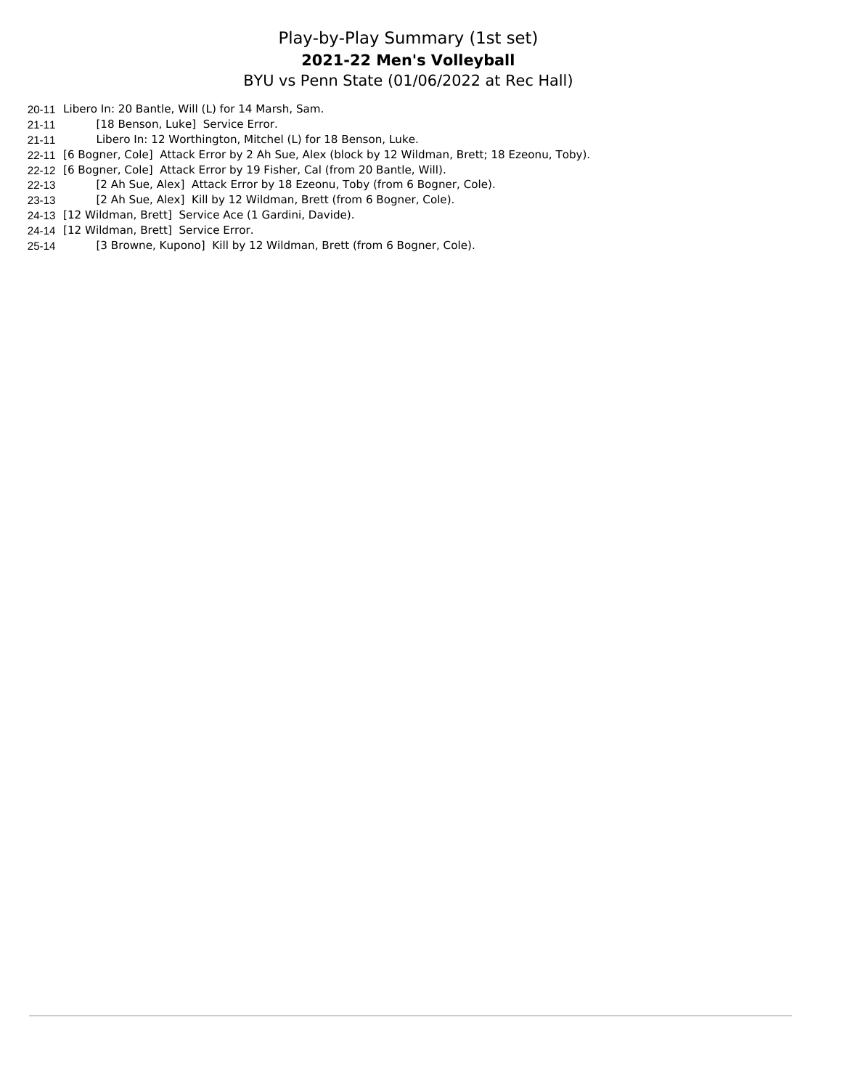#### Play-by-Play Summary (1st set) BYU vs Penn State (01/06/2022 at Rec Hall) **2021-22 Men's Volleyball**

- 20-11 Libero In: 20 Bantle, Will (L) for 14 Marsh, Sam.
- 21-11 [18 Benson, Luke] Service Error.
- 21-11 Libero In: 12 Worthington, Mitchel (L) for 18 Benson, Luke.
- 22-11 [6 Bogner, Cole] Attack Error by 2 Ah Sue, Alex (block by 12 Wildman, Brett; 18 Ezeonu, Toby).
- 22-12 [6 Bogner, Cole] Attack Error by 19 Fisher, Cal (from 20 Bantle, Will).
- 22-13 [2 Ah Sue, Alex] Attack Error by 18 Ezeonu, Toby (from 6 Bogner, Cole).
- 23-13 [2 Ah Sue, Alex] Kill by 12 Wildman, Brett (from 6 Bogner, Cole).
- 24-13 [12 Wildman, Brett] Service Ace (1 Gardini, Davide).
- 24-14 [12 Wildman, Brett] Service Error.
- 25-14 [3 Browne, Kupono] Kill by 12 Wildman, Brett (from 6 Bogner, Cole).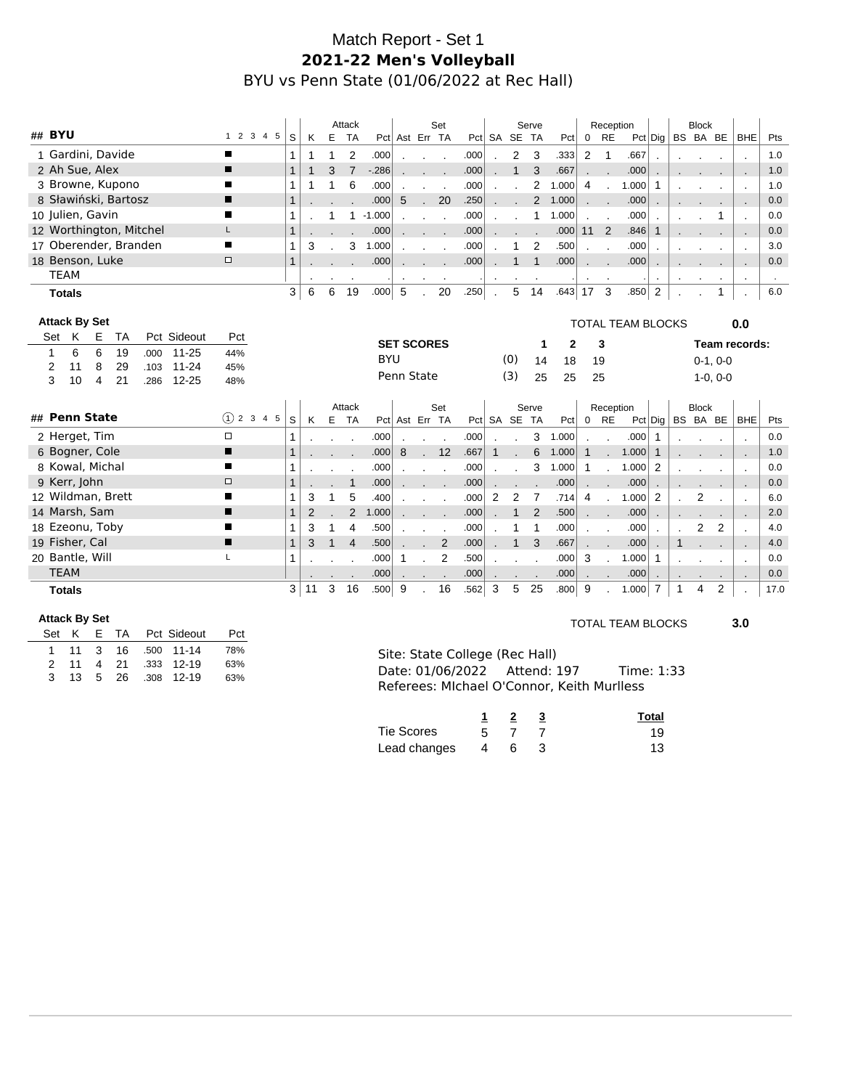# Match Report - Set 1 **2021-22 Men's Volleyball** BYU vs Penn State (01/06/2022 at Rec Hall)

|                                                  |              |    |   | Attack         |             |                   |              | Set |      |         |                | Serve        |                |                                            | Reception                |                          |                |                       | <b>Block</b>   |            |                                              |      |
|--------------------------------------------------|--------------|----|---|----------------|-------------|-------------------|--------------|-----|------|---------|----------------|--------------|----------------|--------------------------------------------|--------------------------|--------------------------|----------------|-----------------------|----------------|------------|----------------------------------------------|------|
| ## BYU<br>1 2 3 4 5                              | S            | K  | E | <b>TA</b>      |             | Pct Ast Err TA    |              |     |      |         | Pct SA SE TA   |              |                | $Pct \begin{bmatrix} 0 & RE \end{bmatrix}$ |                          |                          |                | $Pct $ Dig   BS BA BE |                |            | <b>BHE</b>                                   | Pts  |
| 1 Gardini, Davide<br>п                           | 1            |    |   | 2              | .000        |                   |              |     | .000 |         | 2              | 3            | .333           | $\overline{2}$                             | $\mathbf{1}$             | .667                     |                |                       |                |            | $\overline{\phantom{a}}$                     | 1.0  |
| 2 Ah Sue, Alex<br>П                              | $\mathbf{1}$ |    | 3 | $\overline{7}$ | $-286$      |                   |              |     | .000 |         | $\mathbf{1}$   | 3            | .667           |                                            |                          | .000                     |                |                       |                |            | $\blacksquare$                               | 1.0  |
| 3 Browne, Kupono<br>▬                            | 1            | 1  |   | 6              | .000        |                   |              |     | .000 |         |                | 2            | 1.000          | 4                                          | $\sim$                   | 1.000                    | $\mathbf{1}$   |                       |                |            | $\sim$                                       | 1.0  |
| 8 Sławiński, Bartosz<br>П                        | $\mathbf{1}$ |    |   |                | .000        | 5                 |              | 20  | .250 |         |                | 2            | 1.000          |                                            |                          | .000                     |                |                       |                |            | $\sim$                                       | 0.0  |
| 10 Julien, Gavin<br>■                            | 1            |    |   |                | $1 - 1.000$ |                   |              |     | .000 |         |                | $\mathbf{1}$ | 1.000          |                                            |                          | .000                     |                |                       |                |            | $\mathcal{L}_{\mathbf{a}}$                   | 0.0  |
| 12 Worthington, Mitchel<br>L                     | $\mathbf{1}$ |    |   |                | .000        |                   |              |     | .000 |         |                |              | .000           | 11                                         | $\overline{2}$           | .846                     | 1              |                       |                |            | $\overline{\phantom{a}}$                     | 0.0  |
| 17 Oberender, Branden<br>П                       | 1            | 3  |   | 3              | 1.000       |                   |              |     | .000 |         |                | 2            | .500           |                                            |                          | .000                     |                |                       |                |            | $\mathcal{L}_{\mathbf{a}}$                   | 3.0  |
| 18 Benson, Luke<br>$\Box$                        | $\mathbf{1}$ |    |   |                | .000        |                   |              |     | .000 |         | $\mathbf{1}$   | 1            | .000           |                                            |                          | .000                     |                |                       |                |            |                                              | 0.0  |
| <b>TEAM</b>                                      |              |    |   |                |             |                   |              |     |      | $\cdot$ | $\cdot$        | $\sim$       |                | $\blacksquare$                             |                          |                          | $\cdot$        |                       |                |            | $\blacksquare$                               |      |
| <b>Totals</b>                                    | 3            | 6  | 6 | 19             | .000        | 5                 |              | 20  | .250 |         | 5              | 14           | $.643 \mid 17$ |                                            | $\overline{\mathbf{3}}$  | .850                     | 2              |                       |                | 1          |                                              | 6.0  |
|                                                  |              |    |   |                |             |                   |              |     |      |         |                |              |                |                                            |                          |                          |                |                       |                |            |                                              |      |
| <b>Attack By Set</b>                             |              |    |   |                |             |                   |              |     |      |         |                |              |                |                                            |                          | <b>TOTAL TEAM BLOCKS</b> |                |                       |                |            | 0.0                                          |      |
| K<br>Pct Sideout<br>Е<br><b>TA</b><br>Set<br>Pct |              |    |   |                |             | <b>SET SCORES</b> |              |     |      |         |                | 1            | 2              |                                            | 3                        |                          |                |                       |                |            | Team records:                                |      |
| 6<br>6<br>19<br>$11 - 25$<br>1<br>.000<br>44%    |              |    |   |                | <b>BYU</b>  |                   |              |     |      |         | (0)            | 14           | 18             | 19                                         |                          |                          |                |                       |                | $0-1, 0-0$ |                                              |      |
| 8<br>29<br>2<br>$11 - 24$<br>45%<br>11<br>.103   |              |    |   |                |             | Penn State        |              |     |      |         | (3)            |              |                |                                            |                          |                          |                |                       |                |            |                                              |      |
| 3<br>21<br>10<br>$12 - 25$<br>4<br>.286<br>48%   |              |    |   |                |             |                   |              |     |      |         |                | 25           | 25             | 25                                         |                          |                          |                |                       |                | $1-0, 0-0$ |                                              |      |
|                                                  |              |    |   | Attack         |             |                   |              | Set |      |         |                | Serve        |                |                                            |                          |                          |                |                       | <b>Block</b>   |            |                                              |      |
| ## Penn State<br>$(1)$ 2 3 4 5                   | S            | K  | E | <b>TA</b>      |             | Pct Ast Err TA    |              |     |      |         | Pct SA SE TA   |              | Pct            | $\mathbf 0$                                | Reception<br><b>RE</b>   |                          |                | $Pct $ Dig   BS BA BE |                |            | <b>BHE</b>                                   | Pts  |
| 2 Herget, Tim<br>$\Box$                          |              |    |   |                | .000        |                   |              |     | .000 |         |                | 3            | 1.000          |                                            | $\overline{\phantom{a}}$ | .000                     | $\mathbf 1$    |                       |                |            |                                              | 0.0  |
| 6 Bogner, Cole<br>п                              | $\mathbf{1}$ |    |   |                | .000        | 8                 | $\mathbf{r}$ | 12  | .667 | 1       |                | 6            | 1.000          | $\mathbf{1}$                               |                          | 1.000                    | $\mathbf 1$    |                       |                |            |                                              | 1.0  |
| 8 Kowal, Michal<br>П                             | 1            |    |   |                | .000        |                   |              |     | .000 |         |                | 3            | 1.000          | $\mathbf{1}$                               |                          | 1.000                    | 2              |                       |                |            | ۰.                                           | 0.0  |
| 9 Kerr, John<br>$\Box$                           | $\mathbf{1}$ |    |   | $\mathbf{1}$   | .000        |                   |              |     | .000 |         |                |              | .000           | $\sim$ $\sim$                              |                          | .000                     |                |                       |                |            | $\blacksquare$<br>$\mathcal{L}_{\mathbf{a}}$ | 0.0  |
| 12 Wildman, Brett<br>∎                           | 1            | 3  | 1 | 5              | .400        |                   |              |     | .000 | 2       | $\overline{2}$ | 7            | .714           | 4                                          |                          | 1.000                    | 2              |                       | $\overline{2}$ |            | $\mathcal{L}_{\mathbf{r}}$                   | 6.0  |
| 14 Marsh, Sam<br>ш                               | $\mathbf{1}$ | 2  |   | $\overline{2}$ | 1.000       |                   |              |     | .000 |         | $\mathbf{1}$   | 2            | .500           |                                            |                          | .000                     |                |                       |                |            | $\overline{\phantom{a}}$                     | 2.0  |
| 18 Ezeonu, Toby<br>■                             | 1            | 3  | 1 | 4              | .500        |                   |              |     | .000 |         |                |              | .000           |                                            | $\overline{\phantom{a}}$ | .000                     |                |                       | 2              | 2          | $\mathcal{L}_{\mathbf{z}}$                   | 4.0  |
| 19 Fisher, Cal<br>п                              | $\mathbf{1}$ | 3  |   | 4              | .500        |                   |              | 2   | .000 |         | $\mathbf{1}$   | 3            | .667           |                                            |                          | .000                     |                | $\mathbf{1}$          |                |            | $\overline{\phantom{a}}$                     | 4.0  |
| 20 Bantle, Will<br>L                             | 1            |    |   |                | .000        | $\mathbf{1}$      |              | 2   | .500 |         |                |              | .000           | 3                                          |                          | 1.000                    | $\mathbf{1}$   |                       |                |            | $\sim$                                       | 0.0  |
| <b>TEAM</b>                                      |              |    |   |                | .000        |                   |              |     | .000 |         |                |              | .000           |                                            |                          | .000                     |                |                       |                |            |                                              | 0.0  |
| <b>Totals</b>                                    | 3            | 11 | 3 | 16             | .500        | 9                 |              | 16  | .562 | 3       | 5              | 25           | .800           | 9                                          |                          | 1.000                    | $\overline{7}$ | 1                     | 4              | 2          |                                              | 17.0 |

#### **Attack By Set**

|  | Set K |  | E TA Pct Sideout     | Pct |
|--|-------|--|----------------------|-----|
|  |       |  | 1 11 3 16 .500 11-14 | 78% |
|  | 2 11  |  | 4 21 .333 12-19      | 63% |
|  |       |  | 3 13 5 26 .308 12-19 | 63% |

#### TOTAL TEAM BLOCKS **3.0**

| Site: State College (Rec Hall)             |            |
|--------------------------------------------|------------|
| Date: 01/06/2022 Attend: 197               | Time: 1:33 |
| Referees: Michael O'Connor. Keith Murlless |            |

|              |                |   | Total |
|--------------|----------------|---|-------|
| Tie Scores   | .5             |   | 19    |
| Lead changes | $\overline{4}$ | 6 | 13    |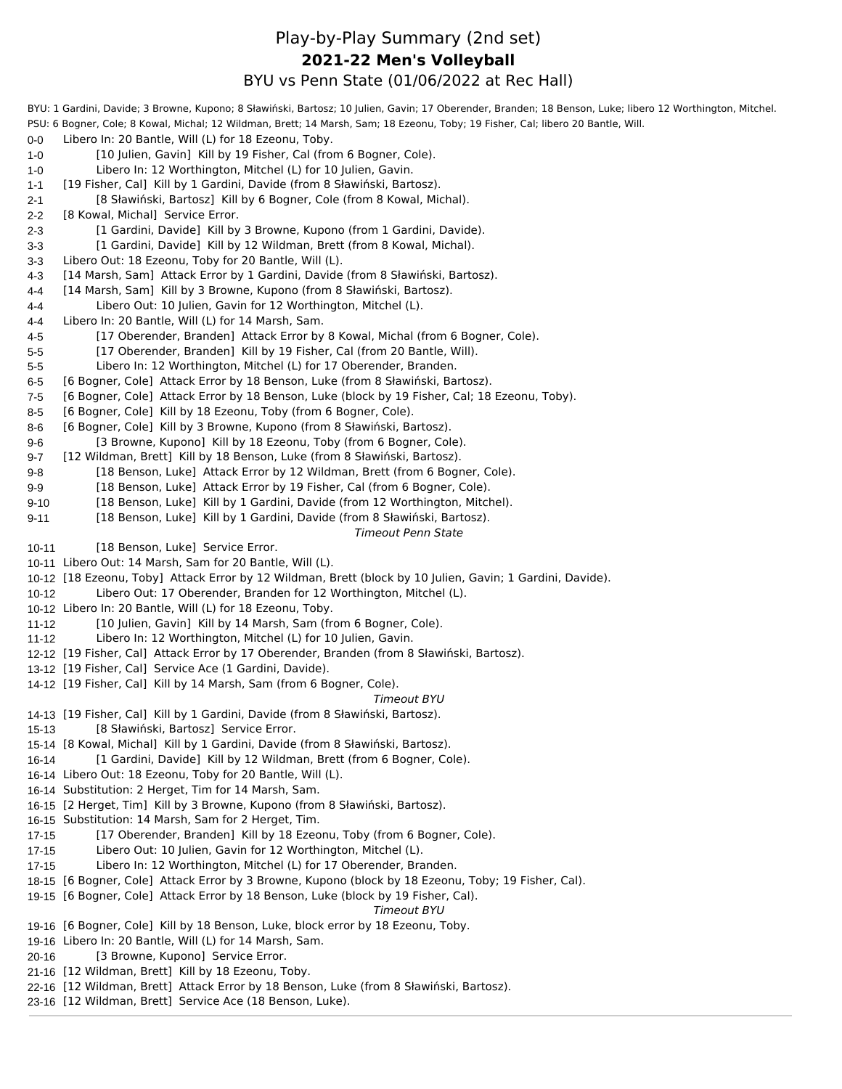# Play-by-Play Summary (2nd set) BYU vs Penn State (01/06/2022 at Rec Hall) **2021-22 Men's Volleyball**

|           | BYU: 1 Gardini, Davide; 3 Browne, Kupono; 8 Sławiński, Bartosz; 10 Julien, Gavin; 17 Oberender, Branden; 18 Benson, Luke; libero 12 Worthington, Mitchel. |
|-----------|-----------------------------------------------------------------------------------------------------------------------------------------------------------|
|           | PSU: 6 Bogner, Cole; 8 Kowal, Michal; 12 Wildman, Brett; 14 Marsh, Sam; 18 Ezeonu, Toby; 19 Fisher, Cal; libero 20 Bantle, Will.                          |
| 0-0       | Libero In: 20 Bantle, Will (L) for 18 Ezeonu, Toby.                                                                                                       |
| 1-0       | [10 Julien, Gavin] Kill by 19 Fisher, Cal (from 6 Bogner, Cole).                                                                                          |
| $1 - 0$   | Libero In: 12 Worthington, Mitchel (L) for 10 Julien, Gavin.                                                                                              |
| $1 - 1$   | [19 Fisher, Cal] Kill by 1 Gardini, Davide (from 8 Sławiński, Bartosz).                                                                                   |
| 2-1       | [8 Sławiński, Bartosz] Kill by 6 Bogner, Cole (from 8 Kowal, Michal).                                                                                     |
| 2-2       | [8 Kowal, Michal] Service Error.                                                                                                                          |
| 2-3       | [1 Gardini, Davide] Kill by 3 Browne, Kupono (from 1 Gardini, Davide).                                                                                    |
| $3 - 3$   | [1 Gardini, Davide] Kill by 12 Wildman, Brett (from 8 Kowal, Michal).                                                                                     |
| 3-3       | Libero Out: 18 Ezeonu, Toby for 20 Bantle, Will (L).                                                                                                      |
| $4-3$     | [14 Marsh, Sam] Attack Error by 1 Gardini, Davide (from 8 Sławiński, Bartosz).                                                                            |
| $4 - 4$   | [14 Marsh, Sam] Kill by 3 Browne, Kupono (from 8 Sławiński, Bartosz).                                                                                     |
| 4-4       | Libero Out: 10 Julien, Gavin for 12 Worthington, Mitchel (L).                                                                                             |
| $4 - 4$   | Libero In: 20 Bantle, Will (L) for 14 Marsh, Sam.                                                                                                         |
| 4-5       | [17 Oberender, Branden] Attack Error by 8 Kowal, Michal (from 6 Bogner, Cole).                                                                            |
| $5-5$     | [17 Oberender, Branden] Kill by 19 Fisher, Cal (from 20 Bantle, Will).                                                                                    |
| 5-5       | Libero In: 12 Worthington, Mitchel (L) for 17 Oberender, Branden.                                                                                         |
| 6-5       | [6 Bogner, Cole] Attack Error by 18 Benson, Luke (from 8 Sławiński, Bartosz).                                                                             |
| 7-5       | [6 Bogner, Cole] Attack Error by 18 Benson, Luke (block by 19 Fisher, Cal; 18 Ezeonu, Toby).                                                              |
| 8-5       | [6 Bogner, Cole] Kill by 18 Ezeonu, Toby (from 6 Bogner, Cole).                                                                                           |
| $8-6$     | [6 Bogner, Cole] Kill by 3 Browne, Kupono (from 8 Sławiński, Bartosz).                                                                                    |
| 9-6       | [3 Browne, Kupono] Kill by 18 Ezeonu, Toby (from 6 Bogner, Cole).                                                                                         |
| 9-7       | [12 Wildman, Brett] Kill by 18 Benson, Luke (from 8 Sławiński, Bartosz).                                                                                  |
| 9-8       | [18 Benson, Luke] Attack Error by 12 Wildman, Brett (from 6 Bogner, Cole).                                                                                |
| 9-9       | [18 Benson, Luke] Attack Error by 19 Fisher, Cal (from 6 Bogner, Cole).                                                                                   |
| $9 - 10$  | [18 Benson, Luke] Kill by 1 Gardini, Davide (from 12 Worthington, Mitchel).                                                                               |
| $9 - 11$  | [18 Benson, Luke] Kill by 1 Gardini, Davide (from 8 Sławiński, Bartosz).                                                                                  |
|           | <b>Timeout Penn State</b>                                                                                                                                 |
| $10 - 11$ | [18 Benson, Luke] Service Error.                                                                                                                          |
|           | 10-11 Libero Out: 14 Marsh, Sam for 20 Bantle, Will (L).                                                                                                  |
|           | 10-12 [18 Ezeonu, Toby] Attack Error by 12 Wildman, Brett (block by 10 Julien, Gavin; 1 Gardini, Davide).                                                 |
| $10 - 12$ | Libero Out: 17 Oberender, Branden for 12 Worthington, Mitchel (L).                                                                                        |
|           | 10-12 Libero In: 20 Bantle, Will (L) for 18 Ezeonu, Toby.                                                                                                 |
| $11 - 12$ | [10 Julien, Gavin] Kill by 14 Marsh, Sam (from 6 Bogner, Cole).                                                                                           |
| 11-12     | Libero In: 12 Worthington, Mitchel (L) for 10 Julien, Gavin.                                                                                              |
|           | 12-12 [19 Fisher, Cal] Attack Error by 17 Oberender, Branden (from 8 Sławiński, Bartosz).                                                                 |
|           | 13-12 [19 Fisher, Cal] Service Ace (1 Gardini, Davide).                                                                                                   |
|           | 14-12 [19 Fisher, Cal] Kill by 14 Marsh, Sam (from 6 Bogner, Cole).                                                                                       |
|           | Timeout BYU                                                                                                                                               |
|           | 14-13 [19 Fisher, Cal] Kill by 1 Gardini, Davide (from 8 Sławiński, Bartosz).                                                                             |
|           | [8 Sławiński, Bartosz] Service Error.                                                                                                                     |
| 15-13     | 15-14 [8 Kowal, Michal] Kill by 1 Gardini, Davide (from 8 Sławiński, Bartosz).                                                                            |
|           |                                                                                                                                                           |
| 16-14     | [1 Gardini, Davide] Kill by 12 Wildman, Brett (from 6 Bogner, Cole).                                                                                      |
|           | 16-14 Libero Out: 18 Ezeonu, Toby for 20 Bantle, Will (L).                                                                                                |
|           | 16-14 Substitution: 2 Herget, Tim for 14 Marsh, Sam.                                                                                                      |
|           | 16-15 [2 Herget, Tim] Kill by 3 Browne, Kupono (from 8 Sławiński, Bartosz).                                                                               |
|           | 16-15 Substitution: 14 Marsh, Sam for 2 Herget, Tim.                                                                                                      |
| $17 - 15$ | [17 Oberender, Branden] Kill by 18 Ezeonu, Toby (from 6 Bogner, Cole).                                                                                    |
| $17 - 15$ | Libero Out: 10 Julien, Gavin for 12 Worthington, Mitchel (L).                                                                                             |
| 17-15     | Libero In: 12 Worthington, Mitchel (L) for 17 Oberender, Branden.                                                                                         |
|           | 18-15 [6 Bogner, Cole] Attack Error by 3 Browne, Kupono (block by 18 Ezeonu, Toby; 19 Fisher, Cal).                                                       |
|           | 19-15 [6 Bogner, Cole] Attack Error by 18 Benson, Luke (block by 19 Fisher, Cal).                                                                         |
|           | Timeout BYU                                                                                                                                               |
|           | 19-16 [6 Bogner, Cole] Kill by 18 Benson, Luke, block error by 18 Ezeonu, Toby.                                                                           |
|           | 19-16 Libero In: 20 Bantle, Will (L) for 14 Marsh, Sam.                                                                                                   |
| $20 - 16$ | [3 Browne, Kupono] Service Error.                                                                                                                         |
|           | 21-16 [12 Wildman, Brett] Kill by 18 Ezeonu, Toby.                                                                                                        |
|           | 22-16 [12 Wildman, Brett] Attack Error by 18 Benson, Luke (from 8 Sławiński, Bartosz).                                                                    |

23-16 [12 Wildman, Brett] Service Ace (18 Benson, Luke).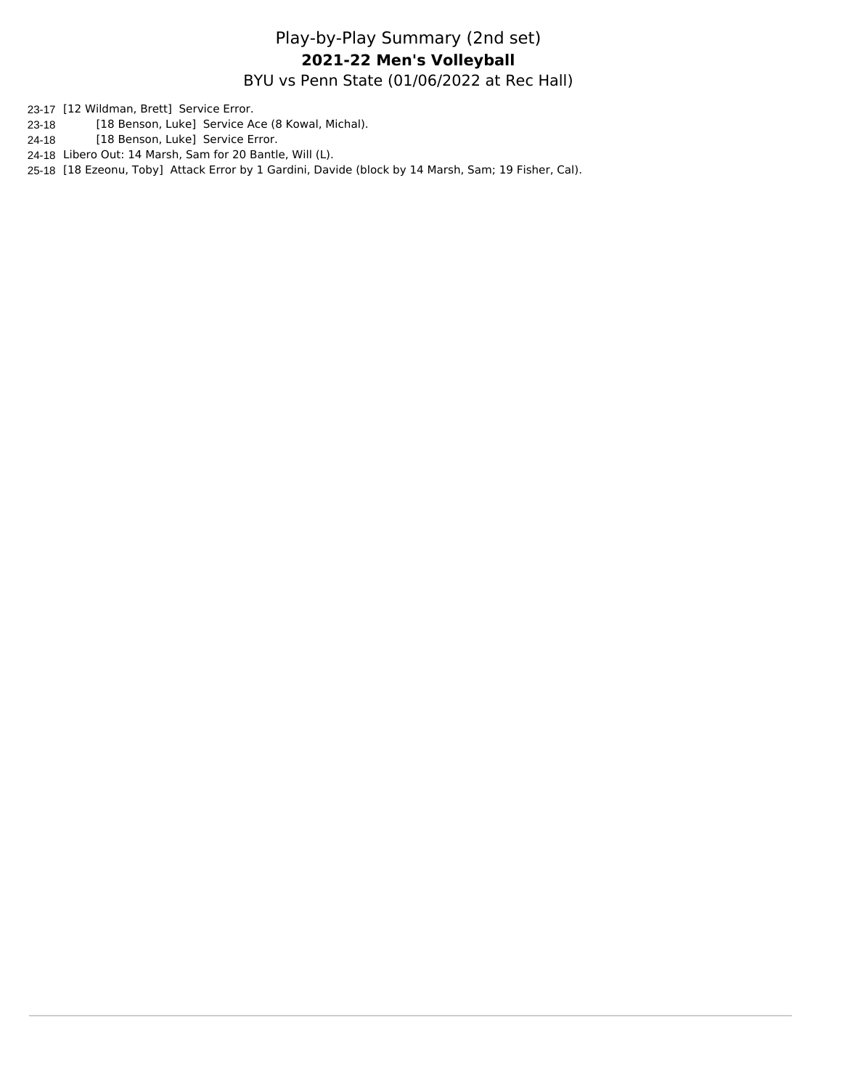# Play-by-Play Summary (2nd set) BYU vs Penn State (01/06/2022 at Rec Hall) **2021-22 Men's Volleyball**

23-17 [12 Wildman, Brett] Service Error.

- 23-18 [18 Benson, Luke] Service Ace (8 Kowal, Michal).
- 24-18 [18 Benson, Luke] Service Error.
- 24-18 Libero Out: 14 Marsh, Sam for 20 Bantle, Will (L).

25-18 [18 Ezeonu, Toby] Attack Error by 1 Gardini, Davide (block by 14 Marsh, Sam; 19 Fisher, Cal).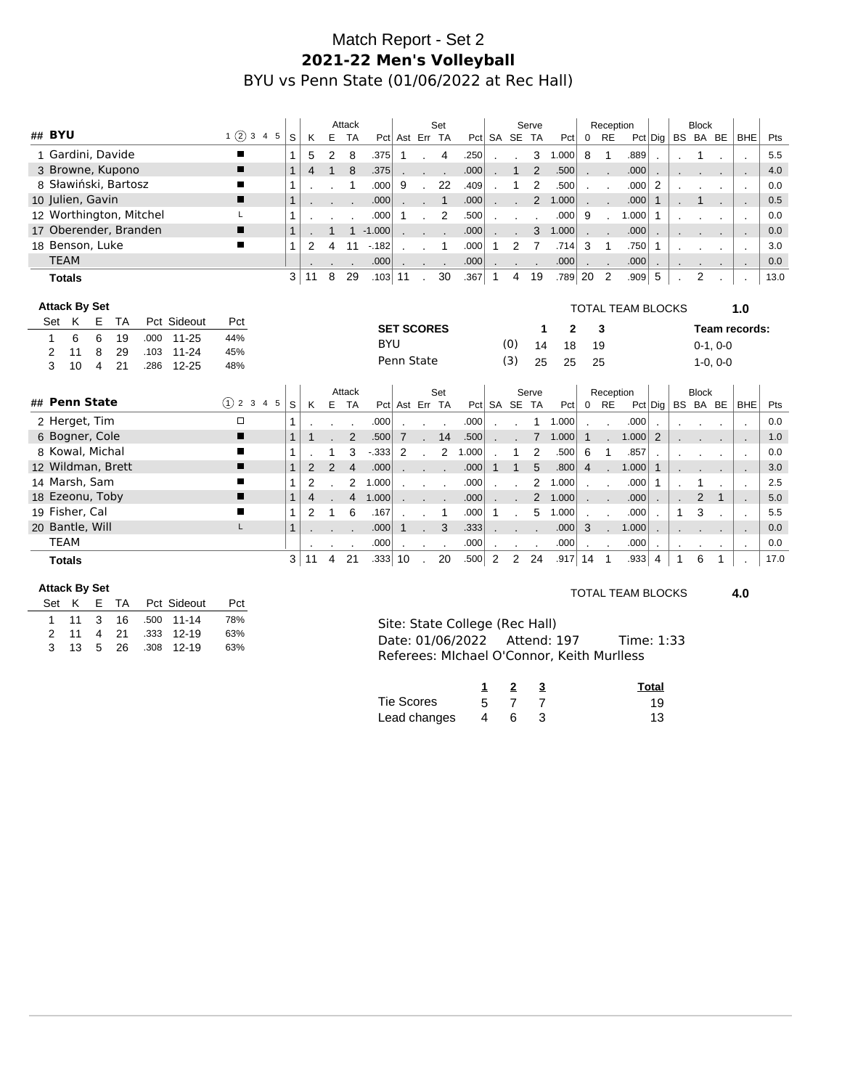# Match Report - Set 2 **2021-22 Men's Volleyball** BYU vs Penn State (01/06/2022 at Rec Hall)

|        |               |                      |                      |                         |             |        |               |              |    | Attack |                |            |                   |              | Set            |       |              |                | Serve          |              |                | Reception                   |                          |                 |                  | <b>Block</b>   |            |                          |      |
|--------|---------------|----------------------|----------------------|-------------------------|-------------|--------|---------------|--------------|----|--------|----------------|------------|-------------------|--------------|----------------|-------|--------------|----------------|----------------|--------------|----------------|-----------------------------|--------------------------|-----------------|------------------|----------------|------------|--------------------------|------|
| ## BYU |               |                      |                      |                         |             |        | 1(2)345       | S            | K  | E      | <b>TA</b>      |            | Pct Ast Err TA    |              |                |       |              | Pct SA SE TA   |                | Pct          |                | $0$ RE                      |                          |                 | Pct Dig BS BA BE |                |            | <b>BHE</b>               | Pts  |
|        |               |                      | 1 Gardini, Davide    |                         |             | п      |               |              | 5  | 2      | 8              | .375       | 1                 |              | 4              | .250  |              |                | 3              | 1.000        | 8              | -1                          | .889                     |                 |                  | 1              |            |                          | 5.5  |
|        |               |                      | 3 Browne, Kupono     |                         |             | п      |               | $\mathbf{1}$ | 4  |        | 8              | .375       |                   |              |                | .000  |              | $\mathbf{1}$   | 2              | .500         |                | $\sim$ $\sim$               | .000                     |                 |                  |                |            |                          | 4.0  |
|        |               |                      | 8 Sławiński, Bartosz |                         |             |        |               |              |    |        |                | .000       | 9                 |              | 22             | .409  |              |                | $\overline{2}$ | .500         |                |                             | .000                     | 2               |                  |                |            |                          | 0.0  |
|        |               | 10 Julien, Gavin     |                      |                         |             | ▬      |               | $\mathbf{1}$ |    |        |                | .000       |                   |              | $\mathbf{1}$   | .000  |              |                | $\overline{2}$ | 1.000        |                |                             | .000                     | $\mathbf{1}$    |                  |                |            |                          | 0.5  |
|        |               |                      |                      | 12 Worthington, Mitchel |             |        |               |              |    |        |                | .000       |                   |              | $\overline{2}$ | .500  |              |                |                | .000         | 9              |                             | 1.000                    | $\mathbf 1$     |                  |                |            | $\cdot$                  | 0.0  |
|        |               |                      |                      | 17 Oberender, Branden   |             | ▪      |               |              |    |        | $\mathbf{1}$   | $-1.000$   |                   |              | $\sim$ $\sim$  | .000  |              |                | 3              | 1.000        |                | $\mathcal{L} = \mathcal{L}$ | .000                     |                 |                  |                |            | $\overline{\phantom{a}}$ | 0.0  |
|        |               | 18 Benson, Luke      |                      |                         |             | ш      |               | 1            | 2  | 4      | 11             | $-182$     |                   |              | 1              | .000  | $\mathbf{1}$ | $\overline{2}$ | $\overline{7}$ | .714         | 3              | $\mathbf 1$                 | .750                     | 1               |                  |                |            |                          | 3.0  |
|        | <b>TEAM</b>   |                      |                      |                         |             |        |               |              |    |        |                | .000       | $\sim$            | $\sim$       |                | .000  | $\sim$       |                | $\blacksquare$ | .000         | $\blacksquare$ | $\sim$ $\sim$               | .000                     | $\blacksquare$  |                  |                |            | $\cdot$                  | 0.0  |
|        | <b>Totals</b> |                      |                      |                         |             |        |               | 3            | 11 | 8      | 29             | $.103$ 11  |                   |              | 30             | .367  | $\mathbf{1}$ | $\overline{4}$ | 19             | .789         | 20             | 2                           | .909                     | 5               |                  | $\overline{2}$ |            |                          | 13.0 |
|        |               |                      |                      |                         |             |        |               |              |    |        |                |            |                   |              |                |       |              |                |                |              |                |                             |                          |                 |                  |                |            |                          |      |
|        |               | <b>Attack By Set</b> |                      |                         |             |        |               |              |    |        |                |            |                   |              |                |       |              |                |                |              |                |                             | <b>TOTAL TEAM BLOCKS</b> |                 |                  |                |            | 1.0                      |      |
| Set    | K             | Е                    | TA                   |                         | Pct Sideout | Pct    |               |              |    |        |                |            | <b>SET SCORES</b> |              |                |       |              |                | 1              | $\mathbf{2}$ |                | 3                           |                          |                 |                  |                |            | Team records:            |      |
| 1      | 6             | 6                    | 19                   | .000                    | $11 - 25$   | 44%    |               |              |    |        |                | <b>BYU</b> |                   |              |                |       |              | (0)            | 14             | 18           |                | 19                          |                          |                 |                  |                | $0-1, 0-0$ |                          |      |
| 2      | 11            | 8                    | 29                   | .103                    | $11 - 24$   | 45%    |               |              |    |        |                |            | Penn State        |              |                |       |              | (3)            |                |              |                |                             |                          |                 |                  |                |            |                          |      |
| 3      | 10            | 4                    | 21                   | .286                    | $12 - 25$   | 48%    |               |              |    |        |                |            |                   |              |                |       |              |                | 25             | 25           |                | 25                          |                          |                 |                  |                | $1-0, 0-0$ |                          |      |
|        |               |                      |                      |                         |             |        |               |              |    |        | Attack         |            |                   |              | Set            |       |              |                | Serve          |              |                |                             |                          |                 |                  | <b>Block</b>   |            |                          |      |
|        |               | ## Penn State        |                      |                         |             |        | $(1)$ 2 3 4 5 | S            | K  | Ε      | <b>TA</b>      |            | Pct Ast Err TA    |              |                |       |              | Pct SA SE TA   |                | Pct          | $\overline{0}$ | Reception<br><b>RE</b>      |                          | $Pct  $ Dig $ $ |                  | BS BA BE       |            | <b>BHE</b>               | Pts  |
|        |               | 2 Herget, Tim        |                      |                         |             | $\Box$ |               | 1            |    |        |                | .000       |                   |              |                | .000  |              |                | 1              | 1.000        |                |                             | .000                     |                 |                  |                |            |                          | 0.0  |
|        |               | 6 Bogner, Cole       |                      |                         |             | п      |               | $\mathbf{1}$ |    |        | 2              | .500       | $\overline{7}$    | $\mathbf{r}$ | 14             | .500  |              |                | $\overline{7}$ | 1.000        | $\mathbf{1}$   |                             | 1.000                    | $\overline{2}$  |                  |                |            | $\cdot$                  | 1.0  |
|        |               | 8 Kowal, Michal      |                      |                         |             |        |               | 1            |    |        | 3              | $-333$     | 2                 |              | $\overline{2}$ | 1.000 |              |                | $\overline{2}$ | .500         | 6              |                             | .857                     |                 |                  |                |            | $\blacksquare$           | 0.0  |
|        |               |                      | 12 Wildman, Brett    |                         |             | п      |               | $\mathbf{1}$ | 2  | 2      | $\overline{4}$ | .000       |                   | ۰            |                | .000  | $\mathbf{1}$ | $\mathbf{1}$   | 5              | .800         | $\overline{4}$ |                             | 1.000                    | $\mathbf{1}$    |                  |                |            | $\sim$                   | 3.0  |
|        |               | 14 Marsh, Sam        |                      |                         |             | ■      |               | 1            | 2  |        | $\overline{2}$ | 1.000      |                   |              |                | .000  |              |                | $\overline{2}$ | 1.000        |                |                             | .000                     | $\mathbf 1$     |                  |                |            | $\ddot{\phantom{a}}$     | 2.5  |
|        |               | 18 Ezeonu, Toby      |                      |                         |             | п      |               | $\mathbf{1}$ | 4  |        | $\overline{4}$ | 1.000      |                   |              |                | .000  |              |                | 2              | 1.000        |                |                             | .000                     |                 |                  | 2              | 1          |                          | 5.0  |
|        |               | 19 Fisher, Cal       |                      |                         |             | п      |               | $\mathbf{1}$ | 2  |        | 6              | .167       |                   |              | 1              | .000  |              |                | 5              | 1.000        |                |                             | .000                     |                 |                  | 3              |            |                          | 5.5  |
|        |               | 20 Bantle, Will      |                      |                         |             | L      |               | $\mathbf{1}$ |    |        |                | .000       | 1                 |              | 3              | .333  |              |                |                | .000         | 3              |                             | 1.000                    |                 |                  |                |            |                          | 0.0  |
|        | <b>TEAM</b>   |                      |                      |                         |             |        |               |              |    |        |                | .000       |                   |              |                | .000  |              |                |                | .000         |                |                             | .000                     |                 |                  |                |            | $\cdot$                  | 0.0  |
|        | <b>Totals</b> |                      |                      |                         |             |        |               | 3            | 11 | 4      | 21             | .333       | 10                |              | 20             | .500  | 2            | $\overline{2}$ | 24             | .917         | 14             | $\overline{1}$              | .933                     | 4               | 1                | 6              | 1          |                          | 17.0 |

#### **Attack By Set**

|  |  |  | Set K E TA Pct Sideout | Pct |
|--|--|--|------------------------|-----|
|  |  |  | 1 11 3 16 .500 11-14   | 78% |
|  |  |  | 2 11 4 21 333 12-19    | 63% |
|  |  |  | 3 13 5 26 .308 12-19   | 63% |

TOTAL TEAM BLOCKS **4.0**

Site: State College (Rec Hall) Date: 01/06/2022 Attend: 197 Time: 1:33 Referees: MIchael O'Connor, Keith Murlless

|              |    |   | Total |
|--------------|----|---|-------|
| Tie Scores   | 5. |   | 19    |
| Lead changes | 4  | 6 | 13    |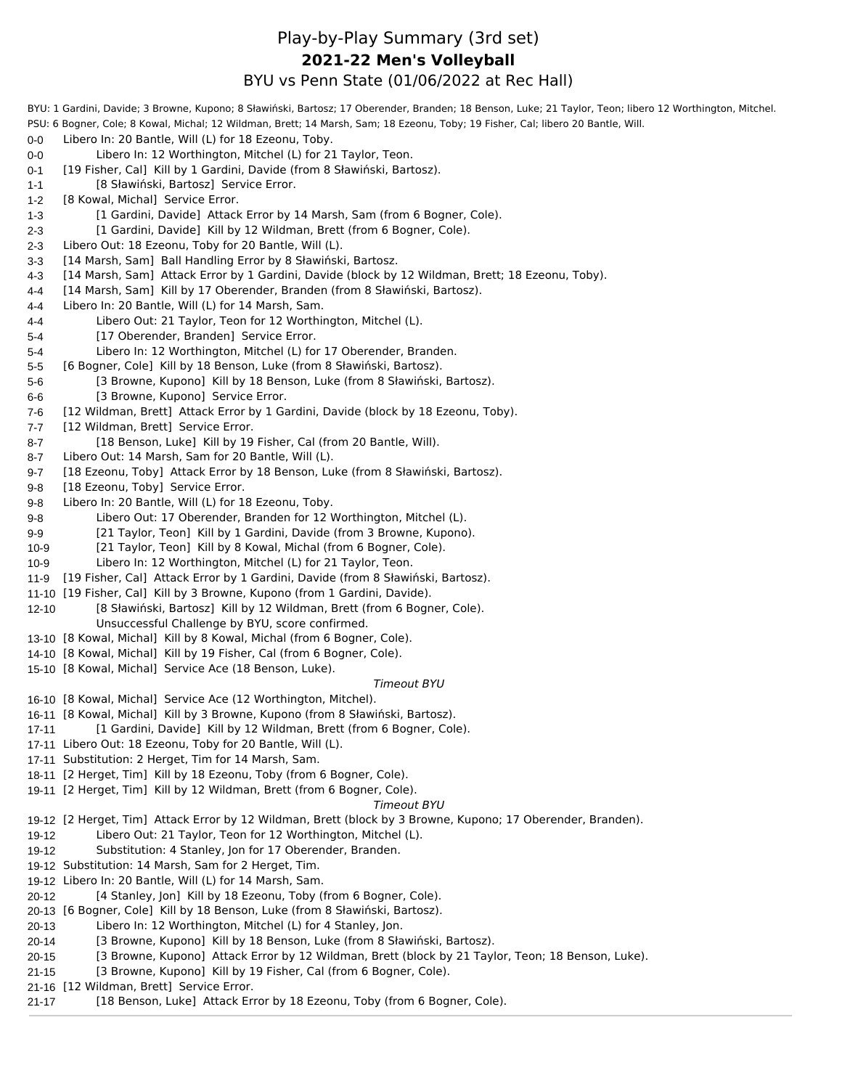# Play-by-Play Summary (3rd set) BYU vs Penn State (01/06/2022 at Rec Hall) **2021-22 Men's Volleyball**

| PSU: 6 Bogner, Cole; 8 Kowal, Michal; 12 Wildman, Brett; 14 Marsh, Sam; 18 Ezeonu, Toby; 19 Fisher, Cal; libero 20 Bantle, Will.<br>Libero In: 20 Bantle, Will (L) for 18 Ezeonu, Toby.<br>0-0<br>Libero In: 12 Worthington, Mitchel (L) for 21 Taylor, Teon.<br>0-0<br>[19 Fisher, Cal] Kill by 1 Gardini, Davide (from 8 Sławiński, Bartosz).<br>0-1<br>[8 Sławiński, Bartosz] Service Error.<br>$1 - 1$<br>[8 Kowal, Michal] Service Error.<br>$1 - 2$<br>[1 Gardini, Davide] Attack Error by 14 Marsh, Sam (from 6 Bogner, Cole).<br>$1 - 3$<br>[1 Gardini, Davide] Kill by 12 Wildman, Brett (from 6 Bogner, Cole).<br>2-3<br>Libero Out: 18 Ezeonu, Toby for 20 Bantle, Will (L).<br>$2 - 3$<br>[14 Marsh, Sam] Ball Handling Error by 8 Sławiński, Bartosz.<br>$3-3$<br>[14 Marsh, Sam] Attack Error by 1 Gardini, Davide (block by 12 Wildman, Brett; 18 Ezeonu, Toby).<br>4-3<br>[14 Marsh, Sam] Kill by 17 Oberender, Branden (from 8 Sławiński, Bartosz).<br>4-4<br>Libero In: 20 Bantle, Will (L) for 14 Marsh, Sam.<br>4-4<br>Libero Out: 21 Taylor, Teon for 12 Worthington, Mitchel (L).<br>4-4<br>[17 Oberender, Branden] Service Error.<br>5-4<br>Libero In: 12 Worthington, Mitchel (L) for 17 Oberender, Branden.<br>5-4<br>[6 Bogner, Cole] Kill by 18 Benson, Luke (from 8 Sławiński, Bartosz).<br>$5 - 5$<br>[3 Browne, Kupono] Kill by 18 Benson, Luke (from 8 Sławiński, Bartosz).<br>$5-6$<br>[3 Browne, Kupono] Service Error.<br>6-6<br>[12 Wildman, Brett] Attack Error by 1 Gardini, Davide (block by 18 Ezeonu, Toby).<br>7-6<br>[12 Wildman, Brett] Service Error.<br>7-7<br>[18 Benson, Luke] Kill by 19 Fisher, Cal (from 20 Bantle, Will).<br>8-7<br>Libero Out: 14 Marsh, Sam for 20 Bantle, Will (L).<br>8-7<br>[18 Ezeonu, Toby] Attack Error by 18 Benson, Luke (from 8 Sławiński, Bartosz).<br>$9 - 7$<br>[18 Ezeonu, Toby] Service Error.<br>9-8<br>Libero In: 20 Bantle, Will (L) for 18 Ezeonu, Toby.<br>9-8<br>Libero Out: 17 Oberender, Branden for 12 Worthington, Mitchel (L).<br>$9-8$<br>[21 Taylor, Teon] Kill by 1 Gardini, Davide (from 3 Browne, Kupono).<br>$9-9$<br>[21 Taylor, Teon] Kill by 8 Kowal, Michal (from 6 Bogner, Cole).<br>$10-9$<br>Libero In: 12 Worthington, Mitchel (L) for 21 Taylor, Teon.<br>$10 - 9$<br>[19 Fisher, Cal] Attack Error by 1 Gardini, Davide (from 8 Sławiński, Bartosz).<br>$11-9$<br>11-10 [19 Fisher, Cal] Kill by 3 Browne, Kupono (from 1 Gardini, Davide).<br>[8 Sławiński, Bartosz] Kill by 12 Wildman, Brett (from 6 Bogner, Cole).<br>$12 - 10$<br>Unsuccessful Challenge by BYU, score confirmed.<br>13-10 [8 Kowal, Michal] Kill by 8 Kowal, Michal (from 6 Bogner, Cole).<br>14-10 [8 Kowal, Michal] Kill by 19 Fisher, Cal (from 6 Bogner, Cole).<br>15-10 [8 Kowal, Michal] Service Ace (18 Benson, Luke).<br><b>Timeout BYU</b><br>16-10 [8 Kowal, Michal] Service Ace (12 Worthington, Mitchel).<br>16-11 [8 Kowal, Michal] Kill by 3 Browne, Kupono (from 8 Sławiński, Bartosz).<br>[1 Gardini, Davide] Kill by 12 Wildman, Brett (from 6 Bogner, Cole).<br>17-11<br>17-11 Libero Out: 18 Ezeonu, Toby for 20 Bantle, Will (L).<br>17-11 Substitution: 2 Herget, Tim for 14 Marsh, Sam.<br>18-11 [2 Herget, Tim] Kill by 18 Ezeonu, Toby (from 6 Bogner, Cole).<br>19-11 [2 Herget, Tim] Kill by 12 Wildman, Brett (from 6 Bogner, Cole).<br><b>Timeout BYU</b><br>19-12 [2 Herget, Tim] Attack Error by 12 Wildman, Brett (block by 3 Browne, Kupono; 17 Oberender, Branden).<br>Libero Out: 21 Taylor, Teon for 12 Worthington, Mitchel (L).<br>19-12<br>Substitution: 4 Stanley, Jon for 17 Oberender, Branden.<br>19-12<br>19-12 Substitution: 14 Marsh, Sam for 2 Herget, Tim.<br>19-12 Libero In: 20 Bantle, Will (L) for 14 Marsh, Sam.<br>[4 Stanley, Jon] Kill by 18 Ezeonu, Toby (from 6 Bogner, Cole).<br>$20 - 12$<br>20-13 [6 Bogner, Cole] Kill by 18 Benson, Luke (from 8 Sławiński, Bartosz).<br>Libero In: 12 Worthington, Mitchel (L) for 4 Stanley, Jon.<br>$20 - 13$<br>[3 Browne, Kupono] Kill by 18 Benson, Luke (from 8 Sławiński, Bartosz).<br>$20 - 14$<br>[3 Browne, Kupono] Attack Error by 12 Wildman, Brett (block by 21 Taylor, Teon; 18 Benson, Luke).<br>$20 - 15$<br>[3 Browne, Kupono] Kill by 19 Fisher, Cal (from 6 Bogner, Cole).<br>$21 - 15$ | BYU: 1 Gardini, Davide; 3 Browne, Kupono; 8 Sławiński, Bartosz; 17 Oberender, Branden; 18 Benson, Luke; 21 Taylor, Teon; libero 12 Worthington, Mitchel. |  |
|-----------------------------------------------------------------------------------------------------------------------------------------------------------------------------------------------------------------------------------------------------------------------------------------------------------------------------------------------------------------------------------------------------------------------------------------------------------------------------------------------------------------------------------------------------------------------------------------------------------------------------------------------------------------------------------------------------------------------------------------------------------------------------------------------------------------------------------------------------------------------------------------------------------------------------------------------------------------------------------------------------------------------------------------------------------------------------------------------------------------------------------------------------------------------------------------------------------------------------------------------------------------------------------------------------------------------------------------------------------------------------------------------------------------------------------------------------------------------------------------------------------------------------------------------------------------------------------------------------------------------------------------------------------------------------------------------------------------------------------------------------------------------------------------------------------------------------------------------------------------------------------------------------------------------------------------------------------------------------------------------------------------------------------------------------------------------------------------------------------------------------------------------------------------------------------------------------------------------------------------------------------------------------------------------------------------------------------------------------------------------------------------------------------------------------------------------------------------------------------------------------------------------------------------------------------------------------------------------------------------------------------------------------------------------------------------------------------------------------------------------------------------------------------------------------------------------------------------------------------------------------------------------------------------------------------------------------------------------------------------------------------------------------------------------------------------------------------------------------------------------------------------------------------------------------------------------------------------------------------------------------------------------------------------------------------------------------------------------------------------------------------------------------------------------------------------------------------------------------------------------------------------------------------------------------------------------------------------------------------------------------------------------------------------------------------------------------------------------------------------------------------------------------------------------------------------------------------------------------------------------------------------------------------------------------------------------------------------------------------------------------------------------------------------------------------------------------------------------------------------------------------------------------------------------------------------------------------------------------------------------------------------------------------------------|----------------------------------------------------------------------------------------------------------------------------------------------------------|--|
|                                                                                                                                                                                                                                                                                                                                                                                                                                                                                                                                                                                                                                                                                                                                                                                                                                                                                                                                                                                                                                                                                                                                                                                                                                                                                                                                                                                                                                                                                                                                                                                                                                                                                                                                                                                                                                                                                                                                                                                                                                                                                                                                                                                                                                                                                                                                                                                                                                                                                                                                                                                                                                                                                                                                                                                                                                                                                                                                                                                                                                                                                                                                                                                                                                                                                                                                                                                                                                                                                                                                                                                                                                                                                                                                                                                                                                                                                                                                                                                                                                                                                                                                                                                                                                                                                               |                                                                                                                                                          |  |
|                                                                                                                                                                                                                                                                                                                                                                                                                                                                                                                                                                                                                                                                                                                                                                                                                                                                                                                                                                                                                                                                                                                                                                                                                                                                                                                                                                                                                                                                                                                                                                                                                                                                                                                                                                                                                                                                                                                                                                                                                                                                                                                                                                                                                                                                                                                                                                                                                                                                                                                                                                                                                                                                                                                                                                                                                                                                                                                                                                                                                                                                                                                                                                                                                                                                                                                                                                                                                                                                                                                                                                                                                                                                                                                                                                                                                                                                                                                                                                                                                                                                                                                                                                                                                                                                                               |                                                                                                                                                          |  |
|                                                                                                                                                                                                                                                                                                                                                                                                                                                                                                                                                                                                                                                                                                                                                                                                                                                                                                                                                                                                                                                                                                                                                                                                                                                                                                                                                                                                                                                                                                                                                                                                                                                                                                                                                                                                                                                                                                                                                                                                                                                                                                                                                                                                                                                                                                                                                                                                                                                                                                                                                                                                                                                                                                                                                                                                                                                                                                                                                                                                                                                                                                                                                                                                                                                                                                                                                                                                                                                                                                                                                                                                                                                                                                                                                                                                                                                                                                                                                                                                                                                                                                                                                                                                                                                                                               |                                                                                                                                                          |  |
|                                                                                                                                                                                                                                                                                                                                                                                                                                                                                                                                                                                                                                                                                                                                                                                                                                                                                                                                                                                                                                                                                                                                                                                                                                                                                                                                                                                                                                                                                                                                                                                                                                                                                                                                                                                                                                                                                                                                                                                                                                                                                                                                                                                                                                                                                                                                                                                                                                                                                                                                                                                                                                                                                                                                                                                                                                                                                                                                                                                                                                                                                                                                                                                                                                                                                                                                                                                                                                                                                                                                                                                                                                                                                                                                                                                                                                                                                                                                                                                                                                                                                                                                                                                                                                                                                               |                                                                                                                                                          |  |
|                                                                                                                                                                                                                                                                                                                                                                                                                                                                                                                                                                                                                                                                                                                                                                                                                                                                                                                                                                                                                                                                                                                                                                                                                                                                                                                                                                                                                                                                                                                                                                                                                                                                                                                                                                                                                                                                                                                                                                                                                                                                                                                                                                                                                                                                                                                                                                                                                                                                                                                                                                                                                                                                                                                                                                                                                                                                                                                                                                                                                                                                                                                                                                                                                                                                                                                                                                                                                                                                                                                                                                                                                                                                                                                                                                                                                                                                                                                                                                                                                                                                                                                                                                                                                                                                                               |                                                                                                                                                          |  |
|                                                                                                                                                                                                                                                                                                                                                                                                                                                                                                                                                                                                                                                                                                                                                                                                                                                                                                                                                                                                                                                                                                                                                                                                                                                                                                                                                                                                                                                                                                                                                                                                                                                                                                                                                                                                                                                                                                                                                                                                                                                                                                                                                                                                                                                                                                                                                                                                                                                                                                                                                                                                                                                                                                                                                                                                                                                                                                                                                                                                                                                                                                                                                                                                                                                                                                                                                                                                                                                                                                                                                                                                                                                                                                                                                                                                                                                                                                                                                                                                                                                                                                                                                                                                                                                                                               |                                                                                                                                                          |  |
|                                                                                                                                                                                                                                                                                                                                                                                                                                                                                                                                                                                                                                                                                                                                                                                                                                                                                                                                                                                                                                                                                                                                                                                                                                                                                                                                                                                                                                                                                                                                                                                                                                                                                                                                                                                                                                                                                                                                                                                                                                                                                                                                                                                                                                                                                                                                                                                                                                                                                                                                                                                                                                                                                                                                                                                                                                                                                                                                                                                                                                                                                                                                                                                                                                                                                                                                                                                                                                                                                                                                                                                                                                                                                                                                                                                                                                                                                                                                                                                                                                                                                                                                                                                                                                                                                               |                                                                                                                                                          |  |
|                                                                                                                                                                                                                                                                                                                                                                                                                                                                                                                                                                                                                                                                                                                                                                                                                                                                                                                                                                                                                                                                                                                                                                                                                                                                                                                                                                                                                                                                                                                                                                                                                                                                                                                                                                                                                                                                                                                                                                                                                                                                                                                                                                                                                                                                                                                                                                                                                                                                                                                                                                                                                                                                                                                                                                                                                                                                                                                                                                                                                                                                                                                                                                                                                                                                                                                                                                                                                                                                                                                                                                                                                                                                                                                                                                                                                                                                                                                                                                                                                                                                                                                                                                                                                                                                                               |                                                                                                                                                          |  |
|                                                                                                                                                                                                                                                                                                                                                                                                                                                                                                                                                                                                                                                                                                                                                                                                                                                                                                                                                                                                                                                                                                                                                                                                                                                                                                                                                                                                                                                                                                                                                                                                                                                                                                                                                                                                                                                                                                                                                                                                                                                                                                                                                                                                                                                                                                                                                                                                                                                                                                                                                                                                                                                                                                                                                                                                                                                                                                                                                                                                                                                                                                                                                                                                                                                                                                                                                                                                                                                                                                                                                                                                                                                                                                                                                                                                                                                                                                                                                                                                                                                                                                                                                                                                                                                                                               |                                                                                                                                                          |  |
|                                                                                                                                                                                                                                                                                                                                                                                                                                                                                                                                                                                                                                                                                                                                                                                                                                                                                                                                                                                                                                                                                                                                                                                                                                                                                                                                                                                                                                                                                                                                                                                                                                                                                                                                                                                                                                                                                                                                                                                                                                                                                                                                                                                                                                                                                                                                                                                                                                                                                                                                                                                                                                                                                                                                                                                                                                                                                                                                                                                                                                                                                                                                                                                                                                                                                                                                                                                                                                                                                                                                                                                                                                                                                                                                                                                                                                                                                                                                                                                                                                                                                                                                                                                                                                                                                               |                                                                                                                                                          |  |
|                                                                                                                                                                                                                                                                                                                                                                                                                                                                                                                                                                                                                                                                                                                                                                                                                                                                                                                                                                                                                                                                                                                                                                                                                                                                                                                                                                                                                                                                                                                                                                                                                                                                                                                                                                                                                                                                                                                                                                                                                                                                                                                                                                                                                                                                                                                                                                                                                                                                                                                                                                                                                                                                                                                                                                                                                                                                                                                                                                                                                                                                                                                                                                                                                                                                                                                                                                                                                                                                                                                                                                                                                                                                                                                                                                                                                                                                                                                                                                                                                                                                                                                                                                                                                                                                                               |                                                                                                                                                          |  |
|                                                                                                                                                                                                                                                                                                                                                                                                                                                                                                                                                                                                                                                                                                                                                                                                                                                                                                                                                                                                                                                                                                                                                                                                                                                                                                                                                                                                                                                                                                                                                                                                                                                                                                                                                                                                                                                                                                                                                                                                                                                                                                                                                                                                                                                                                                                                                                                                                                                                                                                                                                                                                                                                                                                                                                                                                                                                                                                                                                                                                                                                                                                                                                                                                                                                                                                                                                                                                                                                                                                                                                                                                                                                                                                                                                                                                                                                                                                                                                                                                                                                                                                                                                                                                                                                                               |                                                                                                                                                          |  |
|                                                                                                                                                                                                                                                                                                                                                                                                                                                                                                                                                                                                                                                                                                                                                                                                                                                                                                                                                                                                                                                                                                                                                                                                                                                                                                                                                                                                                                                                                                                                                                                                                                                                                                                                                                                                                                                                                                                                                                                                                                                                                                                                                                                                                                                                                                                                                                                                                                                                                                                                                                                                                                                                                                                                                                                                                                                                                                                                                                                                                                                                                                                                                                                                                                                                                                                                                                                                                                                                                                                                                                                                                                                                                                                                                                                                                                                                                                                                                                                                                                                                                                                                                                                                                                                                                               |                                                                                                                                                          |  |
|                                                                                                                                                                                                                                                                                                                                                                                                                                                                                                                                                                                                                                                                                                                                                                                                                                                                                                                                                                                                                                                                                                                                                                                                                                                                                                                                                                                                                                                                                                                                                                                                                                                                                                                                                                                                                                                                                                                                                                                                                                                                                                                                                                                                                                                                                                                                                                                                                                                                                                                                                                                                                                                                                                                                                                                                                                                                                                                                                                                                                                                                                                                                                                                                                                                                                                                                                                                                                                                                                                                                                                                                                                                                                                                                                                                                                                                                                                                                                                                                                                                                                                                                                                                                                                                                                               |                                                                                                                                                          |  |
|                                                                                                                                                                                                                                                                                                                                                                                                                                                                                                                                                                                                                                                                                                                                                                                                                                                                                                                                                                                                                                                                                                                                                                                                                                                                                                                                                                                                                                                                                                                                                                                                                                                                                                                                                                                                                                                                                                                                                                                                                                                                                                                                                                                                                                                                                                                                                                                                                                                                                                                                                                                                                                                                                                                                                                                                                                                                                                                                                                                                                                                                                                                                                                                                                                                                                                                                                                                                                                                                                                                                                                                                                                                                                                                                                                                                                                                                                                                                                                                                                                                                                                                                                                                                                                                                                               |                                                                                                                                                          |  |
|                                                                                                                                                                                                                                                                                                                                                                                                                                                                                                                                                                                                                                                                                                                                                                                                                                                                                                                                                                                                                                                                                                                                                                                                                                                                                                                                                                                                                                                                                                                                                                                                                                                                                                                                                                                                                                                                                                                                                                                                                                                                                                                                                                                                                                                                                                                                                                                                                                                                                                                                                                                                                                                                                                                                                                                                                                                                                                                                                                                                                                                                                                                                                                                                                                                                                                                                                                                                                                                                                                                                                                                                                                                                                                                                                                                                                                                                                                                                                                                                                                                                                                                                                                                                                                                                                               |                                                                                                                                                          |  |
|                                                                                                                                                                                                                                                                                                                                                                                                                                                                                                                                                                                                                                                                                                                                                                                                                                                                                                                                                                                                                                                                                                                                                                                                                                                                                                                                                                                                                                                                                                                                                                                                                                                                                                                                                                                                                                                                                                                                                                                                                                                                                                                                                                                                                                                                                                                                                                                                                                                                                                                                                                                                                                                                                                                                                                                                                                                                                                                                                                                                                                                                                                                                                                                                                                                                                                                                                                                                                                                                                                                                                                                                                                                                                                                                                                                                                                                                                                                                                                                                                                                                                                                                                                                                                                                                                               |                                                                                                                                                          |  |
|                                                                                                                                                                                                                                                                                                                                                                                                                                                                                                                                                                                                                                                                                                                                                                                                                                                                                                                                                                                                                                                                                                                                                                                                                                                                                                                                                                                                                                                                                                                                                                                                                                                                                                                                                                                                                                                                                                                                                                                                                                                                                                                                                                                                                                                                                                                                                                                                                                                                                                                                                                                                                                                                                                                                                                                                                                                                                                                                                                                                                                                                                                                                                                                                                                                                                                                                                                                                                                                                                                                                                                                                                                                                                                                                                                                                                                                                                                                                                                                                                                                                                                                                                                                                                                                                                               |                                                                                                                                                          |  |
|                                                                                                                                                                                                                                                                                                                                                                                                                                                                                                                                                                                                                                                                                                                                                                                                                                                                                                                                                                                                                                                                                                                                                                                                                                                                                                                                                                                                                                                                                                                                                                                                                                                                                                                                                                                                                                                                                                                                                                                                                                                                                                                                                                                                                                                                                                                                                                                                                                                                                                                                                                                                                                                                                                                                                                                                                                                                                                                                                                                                                                                                                                                                                                                                                                                                                                                                                                                                                                                                                                                                                                                                                                                                                                                                                                                                                                                                                                                                                                                                                                                                                                                                                                                                                                                                                               |                                                                                                                                                          |  |
|                                                                                                                                                                                                                                                                                                                                                                                                                                                                                                                                                                                                                                                                                                                                                                                                                                                                                                                                                                                                                                                                                                                                                                                                                                                                                                                                                                                                                                                                                                                                                                                                                                                                                                                                                                                                                                                                                                                                                                                                                                                                                                                                                                                                                                                                                                                                                                                                                                                                                                                                                                                                                                                                                                                                                                                                                                                                                                                                                                                                                                                                                                                                                                                                                                                                                                                                                                                                                                                                                                                                                                                                                                                                                                                                                                                                                                                                                                                                                                                                                                                                                                                                                                                                                                                                                               |                                                                                                                                                          |  |
|                                                                                                                                                                                                                                                                                                                                                                                                                                                                                                                                                                                                                                                                                                                                                                                                                                                                                                                                                                                                                                                                                                                                                                                                                                                                                                                                                                                                                                                                                                                                                                                                                                                                                                                                                                                                                                                                                                                                                                                                                                                                                                                                                                                                                                                                                                                                                                                                                                                                                                                                                                                                                                                                                                                                                                                                                                                                                                                                                                                                                                                                                                                                                                                                                                                                                                                                                                                                                                                                                                                                                                                                                                                                                                                                                                                                                                                                                                                                                                                                                                                                                                                                                                                                                                                                                               |                                                                                                                                                          |  |
|                                                                                                                                                                                                                                                                                                                                                                                                                                                                                                                                                                                                                                                                                                                                                                                                                                                                                                                                                                                                                                                                                                                                                                                                                                                                                                                                                                                                                                                                                                                                                                                                                                                                                                                                                                                                                                                                                                                                                                                                                                                                                                                                                                                                                                                                                                                                                                                                                                                                                                                                                                                                                                                                                                                                                                                                                                                                                                                                                                                                                                                                                                                                                                                                                                                                                                                                                                                                                                                                                                                                                                                                                                                                                                                                                                                                                                                                                                                                                                                                                                                                                                                                                                                                                                                                                               |                                                                                                                                                          |  |
|                                                                                                                                                                                                                                                                                                                                                                                                                                                                                                                                                                                                                                                                                                                                                                                                                                                                                                                                                                                                                                                                                                                                                                                                                                                                                                                                                                                                                                                                                                                                                                                                                                                                                                                                                                                                                                                                                                                                                                                                                                                                                                                                                                                                                                                                                                                                                                                                                                                                                                                                                                                                                                                                                                                                                                                                                                                                                                                                                                                                                                                                                                                                                                                                                                                                                                                                                                                                                                                                                                                                                                                                                                                                                                                                                                                                                                                                                                                                                                                                                                                                                                                                                                                                                                                                                               |                                                                                                                                                          |  |
|                                                                                                                                                                                                                                                                                                                                                                                                                                                                                                                                                                                                                                                                                                                                                                                                                                                                                                                                                                                                                                                                                                                                                                                                                                                                                                                                                                                                                                                                                                                                                                                                                                                                                                                                                                                                                                                                                                                                                                                                                                                                                                                                                                                                                                                                                                                                                                                                                                                                                                                                                                                                                                                                                                                                                                                                                                                                                                                                                                                                                                                                                                                                                                                                                                                                                                                                                                                                                                                                                                                                                                                                                                                                                                                                                                                                                                                                                                                                                                                                                                                                                                                                                                                                                                                                                               |                                                                                                                                                          |  |
|                                                                                                                                                                                                                                                                                                                                                                                                                                                                                                                                                                                                                                                                                                                                                                                                                                                                                                                                                                                                                                                                                                                                                                                                                                                                                                                                                                                                                                                                                                                                                                                                                                                                                                                                                                                                                                                                                                                                                                                                                                                                                                                                                                                                                                                                                                                                                                                                                                                                                                                                                                                                                                                                                                                                                                                                                                                                                                                                                                                                                                                                                                                                                                                                                                                                                                                                                                                                                                                                                                                                                                                                                                                                                                                                                                                                                                                                                                                                                                                                                                                                                                                                                                                                                                                                                               |                                                                                                                                                          |  |
|                                                                                                                                                                                                                                                                                                                                                                                                                                                                                                                                                                                                                                                                                                                                                                                                                                                                                                                                                                                                                                                                                                                                                                                                                                                                                                                                                                                                                                                                                                                                                                                                                                                                                                                                                                                                                                                                                                                                                                                                                                                                                                                                                                                                                                                                                                                                                                                                                                                                                                                                                                                                                                                                                                                                                                                                                                                                                                                                                                                                                                                                                                                                                                                                                                                                                                                                                                                                                                                                                                                                                                                                                                                                                                                                                                                                                                                                                                                                                                                                                                                                                                                                                                                                                                                                                               |                                                                                                                                                          |  |
|                                                                                                                                                                                                                                                                                                                                                                                                                                                                                                                                                                                                                                                                                                                                                                                                                                                                                                                                                                                                                                                                                                                                                                                                                                                                                                                                                                                                                                                                                                                                                                                                                                                                                                                                                                                                                                                                                                                                                                                                                                                                                                                                                                                                                                                                                                                                                                                                                                                                                                                                                                                                                                                                                                                                                                                                                                                                                                                                                                                                                                                                                                                                                                                                                                                                                                                                                                                                                                                                                                                                                                                                                                                                                                                                                                                                                                                                                                                                                                                                                                                                                                                                                                                                                                                                                               |                                                                                                                                                          |  |
|                                                                                                                                                                                                                                                                                                                                                                                                                                                                                                                                                                                                                                                                                                                                                                                                                                                                                                                                                                                                                                                                                                                                                                                                                                                                                                                                                                                                                                                                                                                                                                                                                                                                                                                                                                                                                                                                                                                                                                                                                                                                                                                                                                                                                                                                                                                                                                                                                                                                                                                                                                                                                                                                                                                                                                                                                                                                                                                                                                                                                                                                                                                                                                                                                                                                                                                                                                                                                                                                                                                                                                                                                                                                                                                                                                                                                                                                                                                                                                                                                                                                                                                                                                                                                                                                                               |                                                                                                                                                          |  |
|                                                                                                                                                                                                                                                                                                                                                                                                                                                                                                                                                                                                                                                                                                                                                                                                                                                                                                                                                                                                                                                                                                                                                                                                                                                                                                                                                                                                                                                                                                                                                                                                                                                                                                                                                                                                                                                                                                                                                                                                                                                                                                                                                                                                                                                                                                                                                                                                                                                                                                                                                                                                                                                                                                                                                                                                                                                                                                                                                                                                                                                                                                                                                                                                                                                                                                                                                                                                                                                                                                                                                                                                                                                                                                                                                                                                                                                                                                                                                                                                                                                                                                                                                                                                                                                                                               |                                                                                                                                                          |  |
|                                                                                                                                                                                                                                                                                                                                                                                                                                                                                                                                                                                                                                                                                                                                                                                                                                                                                                                                                                                                                                                                                                                                                                                                                                                                                                                                                                                                                                                                                                                                                                                                                                                                                                                                                                                                                                                                                                                                                                                                                                                                                                                                                                                                                                                                                                                                                                                                                                                                                                                                                                                                                                                                                                                                                                                                                                                                                                                                                                                                                                                                                                                                                                                                                                                                                                                                                                                                                                                                                                                                                                                                                                                                                                                                                                                                                                                                                                                                                                                                                                                                                                                                                                                                                                                                                               |                                                                                                                                                          |  |
|                                                                                                                                                                                                                                                                                                                                                                                                                                                                                                                                                                                                                                                                                                                                                                                                                                                                                                                                                                                                                                                                                                                                                                                                                                                                                                                                                                                                                                                                                                                                                                                                                                                                                                                                                                                                                                                                                                                                                                                                                                                                                                                                                                                                                                                                                                                                                                                                                                                                                                                                                                                                                                                                                                                                                                                                                                                                                                                                                                                                                                                                                                                                                                                                                                                                                                                                                                                                                                                                                                                                                                                                                                                                                                                                                                                                                                                                                                                                                                                                                                                                                                                                                                                                                                                                                               |                                                                                                                                                          |  |
|                                                                                                                                                                                                                                                                                                                                                                                                                                                                                                                                                                                                                                                                                                                                                                                                                                                                                                                                                                                                                                                                                                                                                                                                                                                                                                                                                                                                                                                                                                                                                                                                                                                                                                                                                                                                                                                                                                                                                                                                                                                                                                                                                                                                                                                                                                                                                                                                                                                                                                                                                                                                                                                                                                                                                                                                                                                                                                                                                                                                                                                                                                                                                                                                                                                                                                                                                                                                                                                                                                                                                                                                                                                                                                                                                                                                                                                                                                                                                                                                                                                                                                                                                                                                                                                                                               |                                                                                                                                                          |  |
|                                                                                                                                                                                                                                                                                                                                                                                                                                                                                                                                                                                                                                                                                                                                                                                                                                                                                                                                                                                                                                                                                                                                                                                                                                                                                                                                                                                                                                                                                                                                                                                                                                                                                                                                                                                                                                                                                                                                                                                                                                                                                                                                                                                                                                                                                                                                                                                                                                                                                                                                                                                                                                                                                                                                                                                                                                                                                                                                                                                                                                                                                                                                                                                                                                                                                                                                                                                                                                                                                                                                                                                                                                                                                                                                                                                                                                                                                                                                                                                                                                                                                                                                                                                                                                                                                               |                                                                                                                                                          |  |
|                                                                                                                                                                                                                                                                                                                                                                                                                                                                                                                                                                                                                                                                                                                                                                                                                                                                                                                                                                                                                                                                                                                                                                                                                                                                                                                                                                                                                                                                                                                                                                                                                                                                                                                                                                                                                                                                                                                                                                                                                                                                                                                                                                                                                                                                                                                                                                                                                                                                                                                                                                                                                                                                                                                                                                                                                                                                                                                                                                                                                                                                                                                                                                                                                                                                                                                                                                                                                                                                                                                                                                                                                                                                                                                                                                                                                                                                                                                                                                                                                                                                                                                                                                                                                                                                                               |                                                                                                                                                          |  |
|                                                                                                                                                                                                                                                                                                                                                                                                                                                                                                                                                                                                                                                                                                                                                                                                                                                                                                                                                                                                                                                                                                                                                                                                                                                                                                                                                                                                                                                                                                                                                                                                                                                                                                                                                                                                                                                                                                                                                                                                                                                                                                                                                                                                                                                                                                                                                                                                                                                                                                                                                                                                                                                                                                                                                                                                                                                                                                                                                                                                                                                                                                                                                                                                                                                                                                                                                                                                                                                                                                                                                                                                                                                                                                                                                                                                                                                                                                                                                                                                                                                                                                                                                                                                                                                                                               |                                                                                                                                                          |  |
|                                                                                                                                                                                                                                                                                                                                                                                                                                                                                                                                                                                                                                                                                                                                                                                                                                                                                                                                                                                                                                                                                                                                                                                                                                                                                                                                                                                                                                                                                                                                                                                                                                                                                                                                                                                                                                                                                                                                                                                                                                                                                                                                                                                                                                                                                                                                                                                                                                                                                                                                                                                                                                                                                                                                                                                                                                                                                                                                                                                                                                                                                                                                                                                                                                                                                                                                                                                                                                                                                                                                                                                                                                                                                                                                                                                                                                                                                                                                                                                                                                                                                                                                                                                                                                                                                               |                                                                                                                                                          |  |
|                                                                                                                                                                                                                                                                                                                                                                                                                                                                                                                                                                                                                                                                                                                                                                                                                                                                                                                                                                                                                                                                                                                                                                                                                                                                                                                                                                                                                                                                                                                                                                                                                                                                                                                                                                                                                                                                                                                                                                                                                                                                                                                                                                                                                                                                                                                                                                                                                                                                                                                                                                                                                                                                                                                                                                                                                                                                                                                                                                                                                                                                                                                                                                                                                                                                                                                                                                                                                                                                                                                                                                                                                                                                                                                                                                                                                                                                                                                                                                                                                                                                                                                                                                                                                                                                                               |                                                                                                                                                          |  |
|                                                                                                                                                                                                                                                                                                                                                                                                                                                                                                                                                                                                                                                                                                                                                                                                                                                                                                                                                                                                                                                                                                                                                                                                                                                                                                                                                                                                                                                                                                                                                                                                                                                                                                                                                                                                                                                                                                                                                                                                                                                                                                                                                                                                                                                                                                                                                                                                                                                                                                                                                                                                                                                                                                                                                                                                                                                                                                                                                                                                                                                                                                                                                                                                                                                                                                                                                                                                                                                                                                                                                                                                                                                                                                                                                                                                                                                                                                                                                                                                                                                                                                                                                                                                                                                                                               |                                                                                                                                                          |  |
|                                                                                                                                                                                                                                                                                                                                                                                                                                                                                                                                                                                                                                                                                                                                                                                                                                                                                                                                                                                                                                                                                                                                                                                                                                                                                                                                                                                                                                                                                                                                                                                                                                                                                                                                                                                                                                                                                                                                                                                                                                                                                                                                                                                                                                                                                                                                                                                                                                                                                                                                                                                                                                                                                                                                                                                                                                                                                                                                                                                                                                                                                                                                                                                                                                                                                                                                                                                                                                                                                                                                                                                                                                                                                                                                                                                                                                                                                                                                                                                                                                                                                                                                                                                                                                                                                               |                                                                                                                                                          |  |
|                                                                                                                                                                                                                                                                                                                                                                                                                                                                                                                                                                                                                                                                                                                                                                                                                                                                                                                                                                                                                                                                                                                                                                                                                                                                                                                                                                                                                                                                                                                                                                                                                                                                                                                                                                                                                                                                                                                                                                                                                                                                                                                                                                                                                                                                                                                                                                                                                                                                                                                                                                                                                                                                                                                                                                                                                                                                                                                                                                                                                                                                                                                                                                                                                                                                                                                                                                                                                                                                                                                                                                                                                                                                                                                                                                                                                                                                                                                                                                                                                                                                                                                                                                                                                                                                                               |                                                                                                                                                          |  |
|                                                                                                                                                                                                                                                                                                                                                                                                                                                                                                                                                                                                                                                                                                                                                                                                                                                                                                                                                                                                                                                                                                                                                                                                                                                                                                                                                                                                                                                                                                                                                                                                                                                                                                                                                                                                                                                                                                                                                                                                                                                                                                                                                                                                                                                                                                                                                                                                                                                                                                                                                                                                                                                                                                                                                                                                                                                                                                                                                                                                                                                                                                                                                                                                                                                                                                                                                                                                                                                                                                                                                                                                                                                                                                                                                                                                                                                                                                                                                                                                                                                                                                                                                                                                                                                                                               |                                                                                                                                                          |  |
|                                                                                                                                                                                                                                                                                                                                                                                                                                                                                                                                                                                                                                                                                                                                                                                                                                                                                                                                                                                                                                                                                                                                                                                                                                                                                                                                                                                                                                                                                                                                                                                                                                                                                                                                                                                                                                                                                                                                                                                                                                                                                                                                                                                                                                                                                                                                                                                                                                                                                                                                                                                                                                                                                                                                                                                                                                                                                                                                                                                                                                                                                                                                                                                                                                                                                                                                                                                                                                                                                                                                                                                                                                                                                                                                                                                                                                                                                                                                                                                                                                                                                                                                                                                                                                                                                               |                                                                                                                                                          |  |
|                                                                                                                                                                                                                                                                                                                                                                                                                                                                                                                                                                                                                                                                                                                                                                                                                                                                                                                                                                                                                                                                                                                                                                                                                                                                                                                                                                                                                                                                                                                                                                                                                                                                                                                                                                                                                                                                                                                                                                                                                                                                                                                                                                                                                                                                                                                                                                                                                                                                                                                                                                                                                                                                                                                                                                                                                                                                                                                                                                                                                                                                                                                                                                                                                                                                                                                                                                                                                                                                                                                                                                                                                                                                                                                                                                                                                                                                                                                                                                                                                                                                                                                                                                                                                                                                                               |                                                                                                                                                          |  |
|                                                                                                                                                                                                                                                                                                                                                                                                                                                                                                                                                                                                                                                                                                                                                                                                                                                                                                                                                                                                                                                                                                                                                                                                                                                                                                                                                                                                                                                                                                                                                                                                                                                                                                                                                                                                                                                                                                                                                                                                                                                                                                                                                                                                                                                                                                                                                                                                                                                                                                                                                                                                                                                                                                                                                                                                                                                                                                                                                                                                                                                                                                                                                                                                                                                                                                                                                                                                                                                                                                                                                                                                                                                                                                                                                                                                                                                                                                                                                                                                                                                                                                                                                                                                                                                                                               |                                                                                                                                                          |  |
|                                                                                                                                                                                                                                                                                                                                                                                                                                                                                                                                                                                                                                                                                                                                                                                                                                                                                                                                                                                                                                                                                                                                                                                                                                                                                                                                                                                                                                                                                                                                                                                                                                                                                                                                                                                                                                                                                                                                                                                                                                                                                                                                                                                                                                                                                                                                                                                                                                                                                                                                                                                                                                                                                                                                                                                                                                                                                                                                                                                                                                                                                                                                                                                                                                                                                                                                                                                                                                                                                                                                                                                                                                                                                                                                                                                                                                                                                                                                                                                                                                                                                                                                                                                                                                                                                               |                                                                                                                                                          |  |
|                                                                                                                                                                                                                                                                                                                                                                                                                                                                                                                                                                                                                                                                                                                                                                                                                                                                                                                                                                                                                                                                                                                                                                                                                                                                                                                                                                                                                                                                                                                                                                                                                                                                                                                                                                                                                                                                                                                                                                                                                                                                                                                                                                                                                                                                                                                                                                                                                                                                                                                                                                                                                                                                                                                                                                                                                                                                                                                                                                                                                                                                                                                                                                                                                                                                                                                                                                                                                                                                                                                                                                                                                                                                                                                                                                                                                                                                                                                                                                                                                                                                                                                                                                                                                                                                                               |                                                                                                                                                          |  |
|                                                                                                                                                                                                                                                                                                                                                                                                                                                                                                                                                                                                                                                                                                                                                                                                                                                                                                                                                                                                                                                                                                                                                                                                                                                                                                                                                                                                                                                                                                                                                                                                                                                                                                                                                                                                                                                                                                                                                                                                                                                                                                                                                                                                                                                                                                                                                                                                                                                                                                                                                                                                                                                                                                                                                                                                                                                                                                                                                                                                                                                                                                                                                                                                                                                                                                                                                                                                                                                                                                                                                                                                                                                                                                                                                                                                                                                                                                                                                                                                                                                                                                                                                                                                                                                                                               |                                                                                                                                                          |  |
|                                                                                                                                                                                                                                                                                                                                                                                                                                                                                                                                                                                                                                                                                                                                                                                                                                                                                                                                                                                                                                                                                                                                                                                                                                                                                                                                                                                                                                                                                                                                                                                                                                                                                                                                                                                                                                                                                                                                                                                                                                                                                                                                                                                                                                                                                                                                                                                                                                                                                                                                                                                                                                                                                                                                                                                                                                                                                                                                                                                                                                                                                                                                                                                                                                                                                                                                                                                                                                                                                                                                                                                                                                                                                                                                                                                                                                                                                                                                                                                                                                                                                                                                                                                                                                                                                               |                                                                                                                                                          |  |
|                                                                                                                                                                                                                                                                                                                                                                                                                                                                                                                                                                                                                                                                                                                                                                                                                                                                                                                                                                                                                                                                                                                                                                                                                                                                                                                                                                                                                                                                                                                                                                                                                                                                                                                                                                                                                                                                                                                                                                                                                                                                                                                                                                                                                                                                                                                                                                                                                                                                                                                                                                                                                                                                                                                                                                                                                                                                                                                                                                                                                                                                                                                                                                                                                                                                                                                                                                                                                                                                                                                                                                                                                                                                                                                                                                                                                                                                                                                                                                                                                                                                                                                                                                                                                                                                                               |                                                                                                                                                          |  |
|                                                                                                                                                                                                                                                                                                                                                                                                                                                                                                                                                                                                                                                                                                                                                                                                                                                                                                                                                                                                                                                                                                                                                                                                                                                                                                                                                                                                                                                                                                                                                                                                                                                                                                                                                                                                                                                                                                                                                                                                                                                                                                                                                                                                                                                                                                                                                                                                                                                                                                                                                                                                                                                                                                                                                                                                                                                                                                                                                                                                                                                                                                                                                                                                                                                                                                                                                                                                                                                                                                                                                                                                                                                                                                                                                                                                                                                                                                                                                                                                                                                                                                                                                                                                                                                                                               |                                                                                                                                                          |  |
|                                                                                                                                                                                                                                                                                                                                                                                                                                                                                                                                                                                                                                                                                                                                                                                                                                                                                                                                                                                                                                                                                                                                                                                                                                                                                                                                                                                                                                                                                                                                                                                                                                                                                                                                                                                                                                                                                                                                                                                                                                                                                                                                                                                                                                                                                                                                                                                                                                                                                                                                                                                                                                                                                                                                                                                                                                                                                                                                                                                                                                                                                                                                                                                                                                                                                                                                                                                                                                                                                                                                                                                                                                                                                                                                                                                                                                                                                                                                                                                                                                                                                                                                                                                                                                                                                               |                                                                                                                                                          |  |
|                                                                                                                                                                                                                                                                                                                                                                                                                                                                                                                                                                                                                                                                                                                                                                                                                                                                                                                                                                                                                                                                                                                                                                                                                                                                                                                                                                                                                                                                                                                                                                                                                                                                                                                                                                                                                                                                                                                                                                                                                                                                                                                                                                                                                                                                                                                                                                                                                                                                                                                                                                                                                                                                                                                                                                                                                                                                                                                                                                                                                                                                                                                                                                                                                                                                                                                                                                                                                                                                                                                                                                                                                                                                                                                                                                                                                                                                                                                                                                                                                                                                                                                                                                                                                                                                                               |                                                                                                                                                          |  |
|                                                                                                                                                                                                                                                                                                                                                                                                                                                                                                                                                                                                                                                                                                                                                                                                                                                                                                                                                                                                                                                                                                                                                                                                                                                                                                                                                                                                                                                                                                                                                                                                                                                                                                                                                                                                                                                                                                                                                                                                                                                                                                                                                                                                                                                                                                                                                                                                                                                                                                                                                                                                                                                                                                                                                                                                                                                                                                                                                                                                                                                                                                                                                                                                                                                                                                                                                                                                                                                                                                                                                                                                                                                                                                                                                                                                                                                                                                                                                                                                                                                                                                                                                                                                                                                                                               |                                                                                                                                                          |  |
|                                                                                                                                                                                                                                                                                                                                                                                                                                                                                                                                                                                                                                                                                                                                                                                                                                                                                                                                                                                                                                                                                                                                                                                                                                                                                                                                                                                                                                                                                                                                                                                                                                                                                                                                                                                                                                                                                                                                                                                                                                                                                                                                                                                                                                                                                                                                                                                                                                                                                                                                                                                                                                                                                                                                                                                                                                                                                                                                                                                                                                                                                                                                                                                                                                                                                                                                                                                                                                                                                                                                                                                                                                                                                                                                                                                                                                                                                                                                                                                                                                                                                                                                                                                                                                                                                               |                                                                                                                                                          |  |
|                                                                                                                                                                                                                                                                                                                                                                                                                                                                                                                                                                                                                                                                                                                                                                                                                                                                                                                                                                                                                                                                                                                                                                                                                                                                                                                                                                                                                                                                                                                                                                                                                                                                                                                                                                                                                                                                                                                                                                                                                                                                                                                                                                                                                                                                                                                                                                                                                                                                                                                                                                                                                                                                                                                                                                                                                                                                                                                                                                                                                                                                                                                                                                                                                                                                                                                                                                                                                                                                                                                                                                                                                                                                                                                                                                                                                                                                                                                                                                                                                                                                                                                                                                                                                                                                                               |                                                                                                                                                          |  |
|                                                                                                                                                                                                                                                                                                                                                                                                                                                                                                                                                                                                                                                                                                                                                                                                                                                                                                                                                                                                                                                                                                                                                                                                                                                                                                                                                                                                                                                                                                                                                                                                                                                                                                                                                                                                                                                                                                                                                                                                                                                                                                                                                                                                                                                                                                                                                                                                                                                                                                                                                                                                                                                                                                                                                                                                                                                                                                                                                                                                                                                                                                                                                                                                                                                                                                                                                                                                                                                                                                                                                                                                                                                                                                                                                                                                                                                                                                                                                                                                                                                                                                                                                                                                                                                                                               |                                                                                                                                                          |  |

21-16 [12 Wildman, Brett] Service Error.

21-17 [18 Benson, Luke] Attack Error by 18 Ezeonu, Toby (from 6 Bogner, Cole).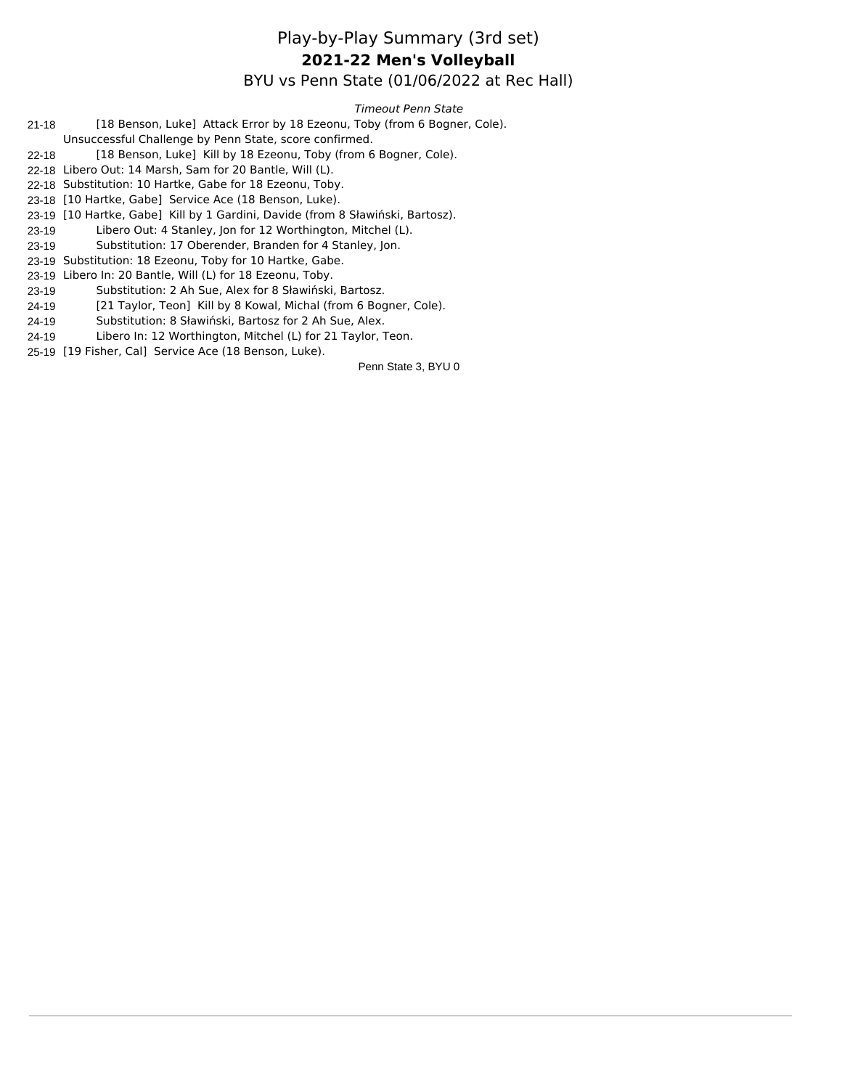#### Play-by-Play Summary (3rd set) BYU vs Penn State (01/06/2022 at Rec Hall) **2021-22 Men's Volleyball**

*Timeout Penn State*

- 21-18 [18 Benson, Luke] Attack Error by 18 Ezeonu, Toby (from 6 Bogner, Cole).
- Unsuccessful Challenge by Penn State, score confirmed.
- 22-18 [18 Benson, Luke] Kill by 18 Ezeonu, Toby (from 6 Bogner, Cole).
- 22-18 Libero Out: 14 Marsh, Sam for 20 Bantle, Will (L).
- 22-18 Substitution: 10 Hartke, Gabe for 18 Ezeonu, Toby.
- 23-18 [10 Hartke, Gabe] Service Ace (18 Benson, Luke).
- 23-19 [10 Hartke, Gabe] Kill by 1 Gardini, Davide (from 8 Sławiński, Bartosz).
- 23-19 Libero Out: 4 Stanley, Jon for 12 Worthington, Mitchel (L).
- 23-19 Substitution: 17 Oberender, Branden for 4 Stanley, Jon.
- 23-19 Substitution: 18 Ezeonu, Toby for 10 Hartke, Gabe.
- 23-19 Libero In: 20 Bantle, Will (L) for 18 Ezeonu, Toby.
- 23-19 Substitution: 2 Ah Sue, Alex for 8 Sławiński, Bartosz.
- 24-19 [21 Taylor, Teon] Kill by 8 Kowal, Michal (from 6 Bogner, Cole).
- 24-19 Substitution: 8 Sławiński, Bartosz for 2 Ah Sue, Alex.
- 24-19 Libero In: 12 Worthington, Mitchel (L) for 21 Taylor, Teon.
- 25-19 [19 Fisher, Cal] Service Ace (18 Benson, Luke).

Penn State 3, BYU 0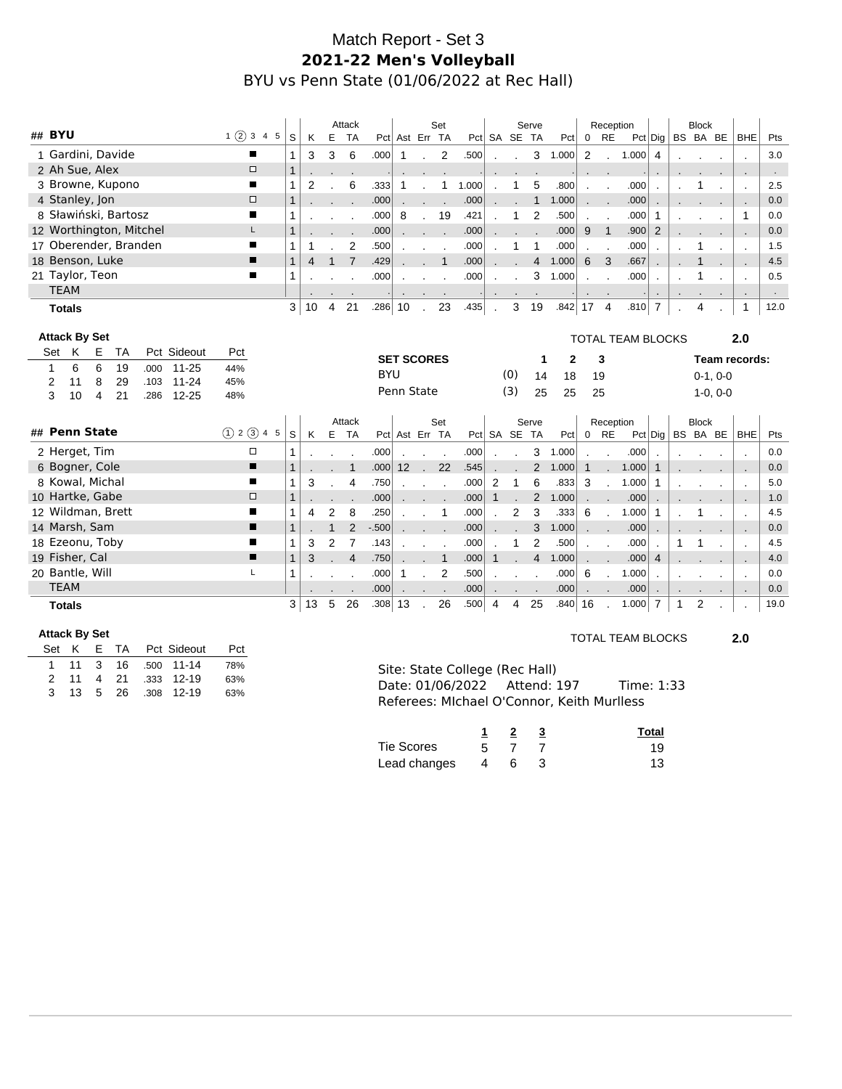# Match Report - Set 3 **2021-22 Men's Volleyball** BYU vs Penn State (01/06/2022 at Rec Hall)

|                                                          |                   |                   | Attack              |                   |                 | Set               |                      |                |                | Serve          |              |                 | Reception                |                          |                |              | <b>Block</b> |            |                |             |
|----------------------------------------------------------|-------------------|-------------------|---------------------|-------------------|-----------------|-------------------|----------------------|----------------|----------------|----------------|--------------|-----------------|--------------------------|--------------------------|----------------|--------------|--------------|------------|----------------|-------------|
| ## BYU<br>1(2)345                                        | S                 | K<br>Ε            | <b>TA</b>           |                   |                 | Pct Ast Err TA    |                      |                | Pct SA SE TA   |                | Pct          | $\mathbf 0$     | <b>RE</b>                |                          | $Pct  $ Dig    |              | BS BA BE     |            | <b>BHE</b>     | Pts         |
| 1 Gardini, Davide<br>п                                   | 1                 | 3                 | 3<br>6              | .000              | $\mathbf{1}$    |                   | 2<br>.500            | $\mathbf{r}$   |                |                | 3 1.000      | 2               | $\cdot$                  | 1.000                    | $\overline{4}$ |              |              |            |                | 3.0         |
| 2 Ah Sue, Alex<br>$\Box$                                 | $\mathbf{1}$      |                   |                     |                   |                 |                   |                      |                |                |                |              |                 |                          |                          |                |              |              |            |                | $\sim$      |
| 3 Browne, Kupono<br>■                                    | 1                 | 2                 | 6                   | .333              | 1               |                   | 1.000<br>1           |                | 1              | 5              | .800         |                 |                          | .000                     |                |              |              |            | $\cdot$        | 2.5         |
| 4 Stanley, Jon<br>$\Box$                                 | $\mathbf{1}$      |                   |                     | .000              |                 |                   | .000                 |                |                | $\mathbf{1}$   | 1.000        |                 |                          | .000                     |                |              |              |            |                | 0.0         |
| 8 Sławiński, Bartosz<br>П                                | 1                 |                   |                     | .000              | 8               | $\mathbf{r}$      | 19<br>.421           |                | 1              | $\overline{2}$ | .500         | $\mathbf{r}$    | $\overline{\phantom{a}}$ | .000                     | $\mathbf 1$    |              |              |            | $\mathbf{1}$   | 0.0         |
| 12 Worthington, Mitchel<br>L.                            | 1                 |                   |                     | .000              |                 | G.                | .000                 |                |                |                | .000         | 9               | $\overline{1}$           | .900                     | 2              |              |              |            |                | 0.0         |
| 17 Oberender, Branden                                    | 1<br>1            |                   | 2                   | .500              |                 |                   | .000                 |                |                | $\mathbf 1$    | .000         |                 |                          | .000                     |                |              | 1            |            | $\overline{a}$ | 1.5         |
| 18 Benson, Luke<br>п                                     | $\mathbf{1}$      | 4<br>$\mathbf{1}$ | $\overline{7}$      | .429              |                 |                   | $\mathbf{1}$<br>.000 |                |                | $\overline{4}$ | 1.000        | 6               | 3                        | .667                     |                |              | $\mathbf 1$  |            |                | 4.5         |
| 21 Taylor, Teon<br>п                                     | 1                 |                   |                     | .000              |                 |                   | .000                 |                |                | 3              | 1.000        |                 |                          | .000                     |                |              | 1            |            |                | 0.5         |
| <b>TEAM</b>                                              |                   |                   |                     |                   |                 |                   |                      |                |                |                |              | $\cdot$         |                          |                          | $\cdot$        |              |              |            | $\sim$         | $\sim$      |
| <b>Totals</b>                                            | 3 <sup>1</sup>    | 10<br>4           | 21                  | .286              | 10              | $\mathbf{r}$      | .435<br>23           | $\mathbf{r}$   | 3              | 19             | .842         | 17 <sub>4</sub> |                          | .810                     | $\overline{7}$ |              | 4            |            | $\mathbf{1}$   | 12.0        |
|                                                          |                   |                   |                     |                   |                 |                   |                      |                |                |                |              |                 |                          |                          |                |              |              |            |                |             |
| <b>Attack By Set</b>                                     |                   |                   |                     |                   |                 |                   |                      |                |                |                |              |                 |                          | <b>TOTAL TEAM BLOCKS</b> |                |              |              |            | 2.0            |             |
| Pct Sideout<br>K<br>Set<br>Е<br>ТA<br>Pct                |                   |                   |                     |                   |                 | <b>SET SCORES</b> |                      |                |                | 1              | 2            |                 | 3                        |                          |                |              |              |            | Team records:  |             |
|                                                          |                   |                   |                     |                   |                 |                   |                      |                |                |                |              |                 |                          |                          |                |              |              |            |                |             |
| 6<br>6<br>$\mathbf{1}$<br>19<br>$11 - 25$<br>44%<br>.000 |                   |                   |                     |                   |                 |                   |                      |                |                |                |              |                 |                          |                          |                |              |              |            |                |             |
| 8<br>29<br>$11 - 24$<br>2<br>11<br>45%<br>.103           |                   |                   |                     | <b>BYU</b>        |                 |                   |                      |                | (0)            | 14             | 18           | 19              |                          |                          |                |              |              | $0-1, 0-0$ |                |             |
| 3<br>21<br>$12 - 25$<br>10<br>4<br>.286<br>48%           |                   |                   |                     |                   | Penn State      |                   |                      |                | (3)            | 25             | 25           | 25              |                          |                          |                |              |              | $1-0, 0-0$ |                |             |
|                                                          |                   |                   |                     |                   |                 |                   |                      |                |                |                |              |                 |                          |                          |                |              |              |            |                |             |
| ## Penn State                                            |                   |                   | Attack              |                   |                 | Set               |                      |                |                | Serve          |              |                 | Reception                |                          |                |              | <b>Block</b> |            |                |             |
| (1) 2 (3) 4 5                                            | S                 | K                 | E TA                |                   |                 | Pct Ast Err TA    |                      |                | Pct SA SE TA   |                | Pct          | $0$ RE          |                          |                          | $Pct  $ Dig    |              | BS BA BE     |            | <b>BHE</b>     | Pts         |
| 2 Herget, Tim<br>$\Box$                                  |                   |                   |                     | .000              |                 | $\mathbf{r}$      | .000                 |                |                | 3              | 1.000        |                 |                          | .000                     |                |              |              |            | $\mathbf{r}$   | 0.0         |
| 6 Bogner, Cole<br>П                                      | $\mathbf{1}$      |                   | 1                   | .000              | 12 <sup>2</sup> | $\sim$            | 22<br>.545           |                |                |                | 2 1.000      | $\mathbf{1}$    |                          | 1.000                    | $\mathbf{1}$   |              |              |            |                | 0.0         |
| 8 Kowal, Michal<br>п                                     | 1                 | 3                 | 4                   | .750              |                 | $\sim$<br>$\cdot$ | .000                 | 2              | $\mathbf{1}$   | 6              | .833         | 3               | $\cdot$                  | 1.000                    | $\mathbf 1$    |              |              |            |                | 5.0         |
| 10 Hartke, Gabe<br>$\Box$                                | 1                 |                   |                     | .000              |                 | .                 | .000                 | $\mathbf{1}$   |                | 2              | 1.000        |                 |                          | .000                     |                |              |              |            |                | 1.0         |
| 12 Wildman, Brett                                        | 1                 | 4                 | $\overline{2}$<br>8 | .250              |                 |                   | .000<br>-1           |                | $\overline{2}$ | 3              | .333         | 6               |                          | 1.000                    | $\mathbf{1}$   |              |              |            | $\cdot$        | 4.5         |
| 14 Marsh, Sam<br>■<br>■                                  | $\mathbf{1}$      |                   | 2<br>$\mathbf{1}$   | $-0.500$          |                 | $\mathbf{r}$      | .000                 |                |                | 3              | 1.000        |                 | $\cdot$                  | .000                     |                |              |              |            |                | 0.0         |
| 18 Ezeonu, Toby<br>п                                     | 3<br>1            | $\overline{2}$    | $\overline{7}$      | .143              |                 |                   | .000                 |                | 1              | $\overline{2}$ | .500         |                 | $\overline{\phantom{a}}$ | .000                     |                | 1            |              |            |                | 4.5         |
| 19 Fisher, Cal<br>L                                      | $\mathbf{1}$<br>3 |                   | $\overline{4}$      | .750              |                 |                   | $\mathbf{1}$<br>.000 |                |                | $\overline{4}$ | 1.000        |                 |                          | .000                     | $\overline{4}$ |              |              |            |                | 4.0         |
| 20 Bantle, Will                                          | 1                 |                   |                     | .000              | 1               |                   | 2<br>.500            |                |                |                | .000         | 6               |                          | 1.000                    |                |              |              |            |                | 0.0         |
| <b>TEAM</b><br><b>Totals</b>                             | 3 <sup>1</sup>    | 13<br>5           | 26                  | .000<br>$.308$ 13 |                 | $\sim$            | .000<br>26<br>.500   | $\overline{4}$ | 4              | 25             | .000<br>.840 | 16              |                          | .000<br>1.000            | $\overline{7}$ | $\mathbf{1}$ | 2            |            | ۰.             | 0.0<br>19.0 |

#### **Attack By Set**

|  |  |  | Set K E TA Pct Sideout | Pct |
|--|--|--|------------------------|-----|
|  |  |  | 1 11 3 16 .500 11-14   | 78% |
|  |  |  | 2 11 4 21 333 12-19    | 63% |
|  |  |  | 3 13 5 26 308 12-19    | 63% |

#### TOTAL TEAM BLOCKS **2.0**

| Site: State College (Rec Hall)             |  |            |  |
|--------------------------------------------|--|------------|--|
| Date: 01/06/2022 Attend: 197               |  | Time: 1:33 |  |
| Referees: Michael O'Connor. Keith Murlless |  |            |  |

|              |      |  | Total |
|--------------|------|--|-------|
| Tie Scores   | 5.   |  | 19    |
| Lead changes | - 46 |  | 13    |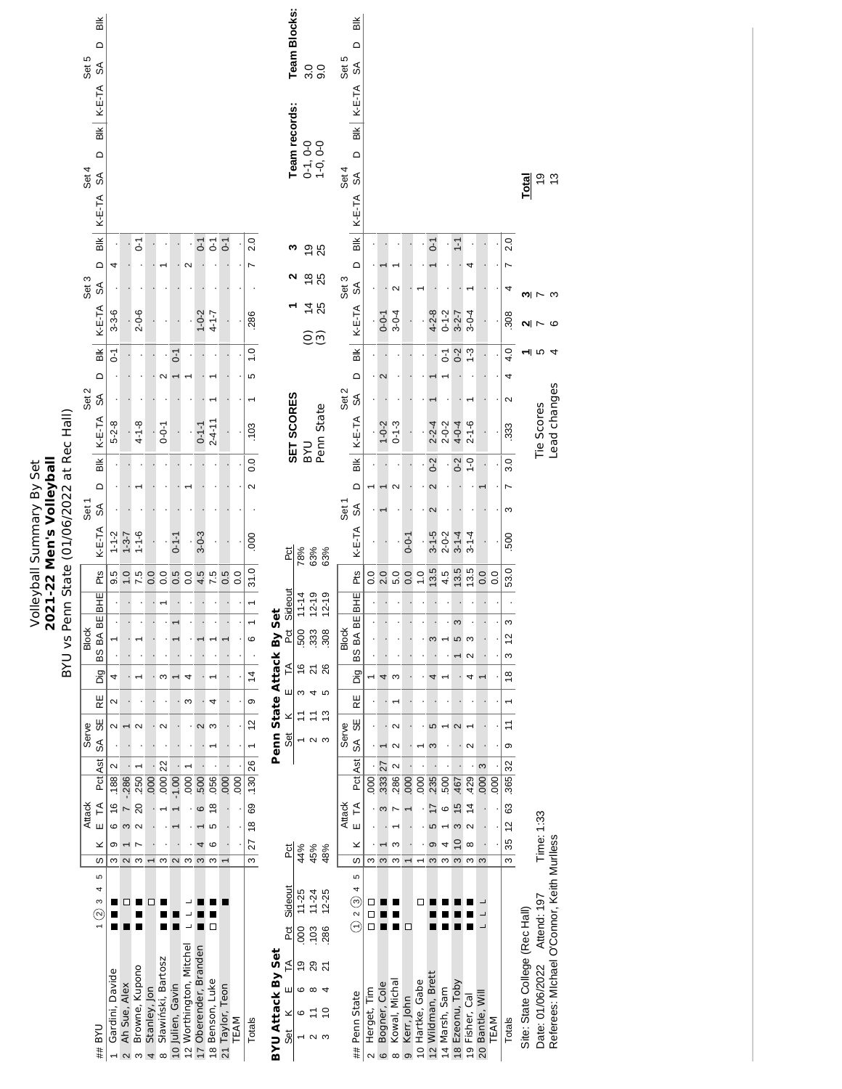|                                                                                                            | Bik<br>$\Omega$<br>Set 5<br>$\mathcal{S}^{\mathsf{A}}$<br>BIK   K-E-TA<br>$\Omega$<br>Set 4<br>SÃ |                           |                                     |                     |                          |                                |                                |                         |                       |                               |                                 |                |                   |                      | <b>Team Blocks:</b><br>Team records:  |                                     | 000<br>$0-1, 0-0$<br>$1-0, 0-0$ |                                                        | Set 5<br>Set 4 | $\frac{1}{2}$<br>$\Omega$<br>$\mathcal{S}^{\mathsf{A}}$<br>BIK   K-E-TA<br>$\Omega$<br>$\delta$ |                       |                                   |                           |                 |                 |                   |                             |                                  |                        |                   |      |                  | Total                          | e n              |                                            |  |
|------------------------------------------------------------------------------------------------------------|---------------------------------------------------------------------------------------------------|---------------------------|-------------------------------------|---------------------|--------------------------|--------------------------------|--------------------------------|-------------------------|-----------------------|-------------------------------|---------------------------------|----------------|-------------------|----------------------|---------------------------------------|-------------------------------------|---------------------------------|--------------------------------------------------------|----------------|-------------------------------------------------------------------------------------------------|-----------------------|-----------------------------------|---------------------------|-----------------|-----------------|-------------------|-----------------------------|----------------------------------|------------------------|-------------------|------|------------------|--------------------------------|------------------|--------------------------------------------|--|
|                                                                                                            | K-E-TA                                                                                            |                           |                                     |                     |                          |                                |                                |                         |                       |                               |                                 |                |                   |                      |                                       |                                     |                                 |                                                        |                | K-E-TA                                                                                          |                       |                                   |                           |                 |                 |                   |                             |                                  |                        |                   |      |                  |                                |                  |                                            |  |
|                                                                                                            | $\frac{1}{2}$<br>$\Omega$                                                                         | 4                         |                                     | $\overline{C}$      |                          |                                |                                | $\mathbf{\Omega}$       | $\overline{0}$        | $\overline{c}$                | $0 - 1$                         |                | 2.0<br>Z          |                      | ω                                     |                                     | <b>98</b>                       |                                                        |                | $\frac{1}{100}$<br>$\Omega$                                                                     |                       |                                   |                           |                 |                 | $\overline{C}$    |                             | $\overline{1}$ -1                |                        |                   |      | 2.0              |                                |                  |                                            |  |
|                                                                                                            | Set 3<br>℅                                                                                        |                           |                                     |                     |                          |                                |                                |                         |                       |                               |                                 |                |                   |                      | ี                                     |                                     | $\frac{8}{25}$                  |                                                        | Set 3          | $\mathcal{L}_{\infty}$                                                                          |                       |                                   | Ν                         |                 |                 |                   |                             |                                  |                        |                   |      | 4                |                                |                  |                                            |  |
|                                                                                                            |                                                                                                   |                           |                                     |                     |                          |                                |                                |                         |                       |                               |                                 |                |                   |                      |                                       |                                     | $\dot{4}$                       | 25                                                     |                |                                                                                                 |                       |                                   |                           |                 |                 |                   |                             |                                  |                        |                   |      |                  | ణ⊩                             | $\sim$ $\infty$  |                                            |  |
|                                                                                                            | K-E-TA                                                                                            | $3 - 3 - 6$               |                                     | $2 - 0 - 6$         |                          |                                |                                |                         | $1 - 0 - 2$           | $4 - 1 - 7$                   |                                 |                | 286               |                      |                                       |                                     | Θũ                              |                                                        |                | K-E-TA                                                                                          |                       | $0 - 0 - 1$                       | $3 - 0 - 4$               |                 |                 | $4 - 2 - 8$       | $0 - 1 - 2$                 | $3 - 2 - 7$                      | $3 - 0 - 4$            |                   |      | 308              | N                              | <b>r</b>         | S                                          |  |
|                                                                                                            | ШĚ                                                                                                | $\overline{C}$            |                                     |                     |                          |                                | $\overline{0}$ -1              |                         |                       |                               |                                 |                | $\overline{1}$ .0 |                      |                                       |                                     |                                 |                                                        |                | Bik                                                                                             |                       |                                   |                           |                 |                 |                   | $\overline{C}$              | $0 - 2$                          | $1 - 3$                |                   |      | 4.0              |                                | ন ত 4            |                                            |  |
|                                                                                                            | $\Omega$<br>Set 2<br>$\mathbb{S}^{\mathbb{S}}$                                                    |                           |                                     |                     |                          | $\mathbf{\sim}$                | $\overline{ }$                 |                         |                       | ۰                             |                                 |                | 5                 |                      |                                       |                                     |                                 |                                                        | Set 2          | $\Omega$                                                                                        |                       | 2                                 |                           |                 |                 |                   |                             |                                  |                        |                   |      | 4<br>$\sim$      |                                |                  |                                            |  |
|                                                                                                            |                                                                                                   |                           |                                     |                     |                          |                                |                                |                         |                       |                               |                                 |                |                   |                      |                                       |                                     |                                 |                                                        |                | SÁ                                                                                              |                       |                                   |                           |                 |                 |                   |                             |                                  |                        |                   |      |                  |                                |                  |                                            |  |
|                                                                                                            | K-E-TA                                                                                            | $5 - 2 - 8$               |                                     | $4 - 1 - 8$         |                          | $0 - 0 - 1$                    |                                |                         | $0 - 1 - 1$           | $2 - 4 - 11$                  |                                 |                | .103              |                      | SET SCORES                            |                                     |                                 | Penn State                                             |                | K-E-TA                                                                                          |                       | $1 - 0 - 2$                       | $0 - 1 - 3$               |                 |                 | $2 - 2 - 4$       | $2 - 0 - 2$                 | $4 - 0 - 4$                      | $2 - 1 - 6$            |                   |      | .333             |                                | Tie Scores       | Lead changes                               |  |
|                                                                                                            | $\frac{1}{2}$                                                                                     |                           |                                     |                     |                          |                                |                                |                         |                       |                               |                                 |                | 0.0               |                      |                                       |                                     | <b>DAB</b>                      |                                                        |                | $\frac{1}{2}$                                                                                   |                       |                                   |                           |                 |                 | $0-2$             |                             | $0-2$                            | $-1$                   |                   |      | 3.0              |                                |                  |                                            |  |
|                                                                                                            | $\Omega$                                                                                          |                           |                                     |                     |                          |                                |                                |                         |                       |                               |                                 |                | $\sim$            |                      |                                       |                                     |                                 |                                                        |                | $\Omega$                                                                                        |                       |                                   | $\sim$                    |                 |                 | $\mathbf{\Omega}$ |                             |                                  |                        |                   |      | $\overline{ }$   |                                |                  |                                            |  |
|                                                                                                            | Set 1<br>$\mathbb S$                                                                              |                           |                                     |                     |                          |                                |                                |                         |                       |                               |                                 |                |                   |                      |                                       |                                     |                                 |                                                        | Set 1          | $\mathcal{S}^{\mathcal{A}}$                                                                     |                       |                                   |                           |                 |                 | 2                 |                             |                                  |                        |                   |      | ω                |                                |                  |                                            |  |
| BYU vs Penn State (01/06/2022 at Rec Hall)<br><b>Volleyball Summary By Set</b><br>2021-22 Men's Volleyball | K-E-TA                                                                                            | $1 - 1 - 2$               | $1 - 3 - 7$                         | $-1 - 6$            |                          |                                | $0 - 1 - 1$                    |                         | $3 - 0 - 3$           |                               |                                 |                | 000               |                      | P <sub>C</sub>                        | 78%                                 | 63%                             | 63%                                                    |                | $K-E-TA$                                                                                        |                       |                                   |                           | $0 - 0 - 1$     |                 | $3 - 1 - 5$       | $2 - 0 - 2$                 | $3 - 1 - 4$                      | $3 - 1 - 4$            |                   |      | 500              |                                |                  |                                            |  |
|                                                                                                            | Pts                                                                                               | 9.5                       | 1.0                                 | 7.5                 | 0.0                      | 0.0                            | 0.5                            | 0.0                     | 4.5                   | 7.5                           | 0.5                             | $\overline{0}$ | 31.0              |                      |                                       |                                     |                                 |                                                        |                | Pts                                                                                             | 0.0                   | 2.0                               | 5.0                       | 0.0             | $\frac{0}{1}$   | 13.5              | 4.5                         | 13.5                             |                        | 0.0               | 0.0  | 53.0             |                                |                  |                                            |  |
|                                                                                                            | <b>BHE</b>                                                                                        |                           |                                     |                     |                          |                                |                                |                         |                       |                               |                                 |                | $\overline{ }$    |                      | Sideout                               | $11 - 14$                           | $12 - 19$                       | $12 - 19$                                              |                | <b>BHE</b>                                                                                      |                       |                                   |                           |                 |                 |                   |                             |                                  |                        |                   |      |                  |                                |                  |                                            |  |
|                                                                                                            | 띪                                                                                                 |                           |                                     |                     |                          |                                |                                |                         |                       |                               |                                 |                | $\overline{ }$    | <b>Set</b>           |                                       |                                     |                                 |                                                        |                | $\overline{B}$                                                                                  |                       |                                   |                           |                 |                 |                   |                             | S                                |                        |                   |      | S                |                                |                  |                                            |  |
|                                                                                                            | <b>Block</b><br>BS BA                                                                             |                           |                                     |                     |                          |                                |                                |                         |                       |                               |                                 |                | $\circ$           | Penn State Attack By | Ĕ                                     | 500                                 | 333                             | 308                                                    | <b>Block</b>   | BS BA                                                                                           |                       |                                   |                           |                 |                 | S                 |                             | $\mathsf{L}\mathsf{D}$           | ო<br>$\mathbf{\Omega}$ |                   |      | $\tilde{c}$<br>S |                                |                  |                                            |  |
|                                                                                                            | Dig                                                                                               | 4                         |                                     |                     |                          | ო                              |                                | 4                       |                       |                               |                                 |                | $\frac{4}{3}$     |                      | $\tilde{E}$                           | $\frac{6}{2}$                       |                                 | $\frac{5}{2}$                                          |                | Dig                                                                                             |                       | 4                                 | ო                         |                 |                 | 4                 |                             |                                  | 4                      |                   |      | $\frac{8}{1}$    |                                |                  |                                            |  |
|                                                                                                            | RE                                                                                                | Ν                         |                                     |                     |                          |                                |                                | ω                       |                       | 4                             |                                 |                | တ                 |                      | ш                                     | S                                   |                                 | 4 ro                                                   |                | RE                                                                                              |                       |                                   |                           |                 |                 |                   |                             |                                  |                        |                   |      |                  |                                |                  |                                            |  |
|                                                                                                            | 55<br>Serve                                                                                       | N                         |                                     | $\mathbf{\Omega}$   |                          | $\mathbf{\Omega}$              |                                |                         | $\mathbf{\Omega}$     | S                             |                                 |                | $\frac{1}{2}$     |                      | ×                                     | $\tilde{t}$                         | Ξ                               | $\frac{3}{2}$                                          | Serve          | 59                                                                                              |                       |                                   | $\sim$                    |                 |                 | 5                 |                             | $\mathbf 2$                      |                        |                   |      | $\tilde{t}$      |                                |                  |                                            |  |
|                                                                                                            | SÃ                                                                                                |                           |                                     |                     |                          |                                |                                |                         |                       |                               |                                 |                | $\overline{ }$    |                      | Set                                   | $\overline{\phantom{0}}$            |                                 | $\sim$ $\sim$                                          |                | SÃ                                                                                              |                       |                                   | $\sim$                    |                 |                 | S                 |                             |                                  | $\sim$                 |                   |      | တ                |                                |                  |                                            |  |
|                                                                                                            | Pct Ast                                                                                           | $\mathbf{\Omega}$<br>.188 | $-286$                              | 250                 | 000                      | .000   22                      | $-1.00$                        | $\overline{50}$         | 500                   | 056                           | $\overline{000}$                | 000            | .130   26         |                      |                                       |                                     |                                 |                                                        |                | Pat Ast                                                                                         | 800                   | 27<br>333                         | $\mathbf{\Omega}$<br>286  | 000             | 000             | 235               | 500                         | 467                              | 429                    | 3<br> 000         | 000  | 365 32           |                                |                  |                                            |  |
|                                                                                                            | F                                                                                                 | $\frac{6}{5}$             | $\ddot{\phantom{0}}$                | 20                  |                          |                                |                                |                         | $\circ$               | $\frac{8}{2}$                 |                                 |                | 69                |                      |                                       |                                     |                                 |                                                        |                | $\widetilde{\mathsf{L}}$                                                                        |                       | S                                 |                           |                 |                 |                   | ဖ                           | $\frac{5}{2}$                    | $\frac{4}{3}$          |                   |      | 63               |                                |                  |                                            |  |
|                                                                                                            | <b>Attack</b><br>Ш                                                                                | 6                         | $\infty$                            | $\sim$              |                          |                                |                                |                         |                       | 5                             |                                 |                | $\frac{8}{2}$     |                      |                                       |                                     |                                 |                                                        | <b>Attack</b>  | Ш                                                                                               |                       |                                   |                           |                 |                 | 5                 |                             | S                                | $\mathbf{\Omega}$      |                   |      | $\tilde{c}$      |                                |                  |                                            |  |
|                                                                                                            | ×<br>w                                                                                            | თ<br>ω                    | $\mathbf{\Omega}$                   | $\overline{ }$<br>S | $\overline{\phantom{0}}$ | S                              | $\sim$                         | S                       | 4<br>S                | $\circ$<br>S                  |                                 |                | 27<br>ო           |                      | Pct                                   | 44%                                 | 45%                             | 48%                                                    |                | ×<br>S                                                                                          | ω                     | $\mathfrak{S}$                    | S<br>S                    |                 | ۰               | ၜ<br>S            | 4<br>S                      | $\overline{C}$<br>$\mathfrak{S}$ | $\infty$<br>S          | S                 |      | 35<br>ო          |                                | Time: 1:33       |                                            |  |
|                                                                                                            | 5                                                                                                 |                           |                                     |                     |                          |                                |                                |                         |                       |                               |                                 |                |                   |                      |                                       |                                     |                                 |                                                        |                | 5                                                                                               |                       |                                   |                           |                 |                 |                   |                             |                                  |                        |                   |      |                  |                                |                  |                                            |  |
|                                                                                                            | 4<br>S<br>$\odot$                                                                                 |                           | П                                   |                     | ◻                        |                                |                                |                         |                       | □                             |                                 |                |                   |                      | Sideout<br>Pct                        | 11-25<br>000                        | $11 - 24$<br>.103               | $12 - 25$<br>286                                       |                | 4<br>$\widehat{\odot}$ 2 $\widehat{\odot}$                                                      | □                     |                                   |                           | □               | □               |                   |                             |                                  |                        |                   |      |                  |                                | Attend: 197      |                                            |  |
|                                                                                                            | <b>DAB</b><br>##                                                                                  | Gardini, Davide           | Ah Sue, Alex<br>$\boldsymbol{\sim}$ | Browne, Kupono<br>S | Stanley, Jon<br>4        | Sławiński, Bartosz<br>$\infty$ | Julien, Gavin<br>$\frac{1}{2}$ | 12 Worthington, Mitchel | 17 Oberender, Branden | Benson, Luke<br>$\frac{1}{6}$ | Taylor, Teon<br>$\overline{21}$ | TEAM           | Totals            | BYU Attack By Set    | $\tilde{\mathsf{L}}$<br>ш<br>×<br>Set | $\overline{9}$<br>$\circ$<br>ဖ<br>T | Ξ                               | ี 8 ฉ<br>$\infty$ 4<br>$\overline{C}$<br>$\sim$ $\sim$ |                | Penn State<br>##                                                                                | Herget, Tim<br>$\sim$ | Bogner, Cole<br>$\mathbf  \omega$ | Kowal, Michal<br>$\infty$ | Kerr, John<br>ၜ | 10 Hartke, Gabe | 12 Wildman, Brett | Marsh, Sam<br>$\frac{4}{3}$ | 18 Ezeonu, Toby                  | 19 Fisher, Cal         | Bantle, Wil<br>20 | TEAM | Totals           | Site: State College (Rec Hall) | Date: 01/06/2022 | Referees: Michael O'Connor, Keith Muriless |  |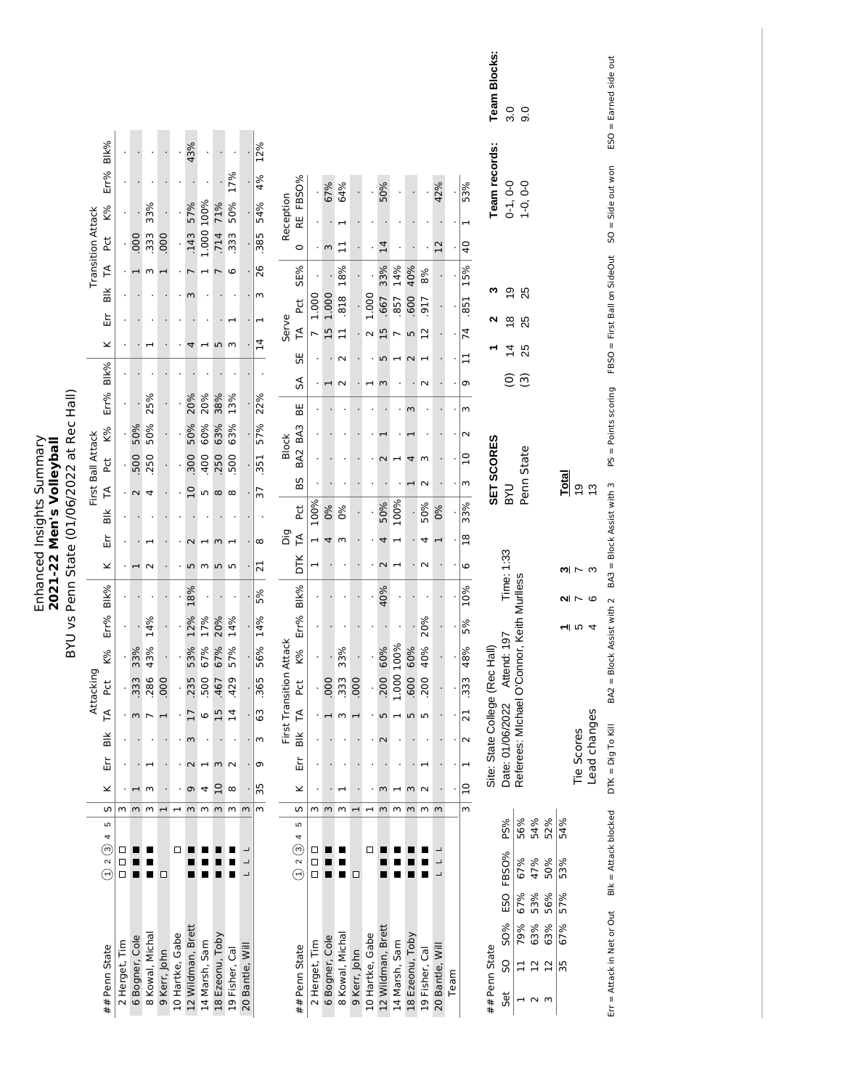|                                            | Blk%<br>Err%                                                |                      |                              |                   |                               |                               | 43%                                                 |                                          |                                |                                       |                 | 12%<br>4%                      |                         | FBSO%                                                 |                      | 67%            | 64%                  |                                          |                                                                         | 50%                |                                                                                       |                                |                                    | 42%                      |      | 53%                                                                                     | <b>Team Blocks:</b><br>Team records: | 3.0                                                                              | 0.6                         |                                |            |                  |                            | ESO = Earned side out                          |
|--------------------------------------------|-------------------------------------------------------------|----------------------|------------------------------|-------------------|-------------------------------|-------------------------------|-----------------------------------------------------|------------------------------------------|--------------------------------|---------------------------------------|-----------------|--------------------------------|-------------------------|-------------------------------------------------------|----------------------|----------------|----------------------|------------------------------------------|-------------------------------------------------------------------------|--------------------|---------------------------------------------------------------------------------------|--------------------------------|------------------------------------|--------------------------|------|-----------------------------------------------------------------------------------------|--------------------------------------|----------------------------------------------------------------------------------|-----------------------------|--------------------------------|------------|------------------|----------------------------|------------------------------------------------|
|                                            | K%<br><b>Transition Attack</b><br>td<br>P                   |                      | 000                          | 33%<br>333        | .000                          |                               | 57%<br>.143                                         | 1.000 100%                               | 71%<br>.714                    | 50% 17%<br>333                        |                 | 54%<br>385                     | Reception               | RE<br>$\circ$                                         |                      | $\epsilon$     | 급                    |                                          |                                                                         | $\overline{14}$    |                                                                                       |                                |                                    | 12                       |      | $\overline{a}$<br>$\overline{a}$                                                        |                                      | $0-1, 0-0$                                                                       | $1-0, 0-0$                  |                                |            |                  |                            |                                                |
|                                            | F<br>$\frac{1}{2}$<br>Εrτ<br>×                              |                      |                              | w                 |                               |                               | ω<br>4                                              | $\blacksquare$                           | $\overline{5}$                 | 6<br>m                                |                 | 26<br>ξ<br>⊣<br>$\overline{1}$ | Serve                   | SE%<br>P <sub>C</sub><br>$\tilde{H}$                  | 1.000                | 1.000<br>15    | 18%<br>818<br>$\Box$ |                                          | 1.000<br>$\sim$                                                         | 33%<br>.667<br>15  | 14%<br>857                                                                            | 40%<br>.600<br>LO <sub>1</sub> | 8%<br>917<br>$\overline{12}$       |                          |      | 15%<br>.851<br>74                                                                       | ∾                                    | $\overline{9}$<br>$\frac{8}{1}$<br>$\overline{4}$                                | 25<br>25<br>25              |                                |            |                  |                            | FBSO = First Ball on SideOut SO = Side out won |
|                                            | Blk%<br>Err%                                                | ÷.                   |                              | 25%               |                               |                               | 20%                                                 | 20%                                      | 38%                            | 13%                                   |                 | 22%                            |                         | 55<br>S<br>BE                                         |                      |                | $\sim$               |                                          |                                                                         | LN,<br>m           | $\overline{\phantom{0}}$                                                              | $\sim$<br>$\sim$               | $\overline{\phantom{0}}$<br>$\sim$ |                          |      | $\mathbf{1}$<br>Φ<br>$\epsilon$                                                         |                                      | $\widehat{\circ}$                                                                | $\widehat{\mathcal{C}}$     |                                |            |                  |                            |                                                |
| BYU vs Penn State (01/06/2022 at Rec Hall) | K%<br>First Ball Attack<br><b>Pct</b><br>F<br>$\frac{1}{2}$ |                      | 50%<br>500<br>$\sim$         | 50%<br>250<br>4   |                               |                               | 50%<br>300<br>10                                    | 60%<br>400<br>S                          | 63%<br>250<br>$\infty$         | 63%<br>500<br>$^{\circ}$              |                 | 57%<br>351<br>37               | <b>Block</b>            | BA <sub>3</sub><br>BA <sub>2</sub><br>BS<br><b>PC</b> | 100%                 | 0%             | 0%                   |                                          |                                                                         | $\sim$<br>50%      | 100%                                                                                  | 4                              | m<br>$\sim$<br>50%                 | 0%                       |      | $\sim$<br>$\overline{10}$<br>$\mathsf{m}$<br>33%                                        | SET SCORES                           | <b>DAB</b>                                                                       | Penn State                  |                                |            | <b>Total</b>     | ó,<br>$\frac{3}{2}$        | $PS = Points scoring$                          |
|                                            | Εr<br>×                                                     |                      | $\overline{\phantom{a}}$     | $\sim$            |                               |                               | S                                                   | m                                        | $\epsilon$<br>n w              | ⊣                                     |                 | $\infty$<br>21                 | Dig                     | $\tilde{H}$<br>DТК                                    | 1<br>⊣               | 4              | m                    |                                          |                                                                         | 4<br>$\sim$        | $\overline{\phantom{0}}$<br>$\overline{ }$                                            |                                | 4<br>$\sim$                        | $\overline{\phantom{0}}$ |      | $\frac{8}{18}$<br>6                                                                     |                                      | Time: 1:33                                                                       |                             |                                |            |                  | <u>న</u> గాల               | BA3 = Block Assist with 3                      |
|                                            | Blk%<br>Err%<br>K%<br>Attacking<br>Þct                      | $\ddot{\phantom{0}}$ | 33%<br>333                   | 14%<br>43%<br>286 | .000                          |                               | 18%<br>12%<br>53%<br>235                            | 17%<br>67%<br>500                        | 20%<br>67%<br>467              | 14%<br>57%<br>429                     |                 | 5%<br>56% 14%<br>365           | First Transition Attack | Blk%<br>Err%<br>K%<br>Pct                             | $\ddot{\phantom{0}}$ | 000            | 33%<br>333           | .000                                     |                                                                         | 40%<br>60%<br>.200 | 1.000 100%                                                                            | 60%<br>.600                    | 20%<br>40%<br>200                  |                          |      | 10%<br>5%<br>48%<br>$\sqrt{333}$                                                        |                                      | Date: 01/06/2022 Attend: 197 Time:<br>Referees: Michael O'Connor, Keith Murlless |                             |                                |            |                  | 2N > 2<br>ন ত 4            | BA2 = Block Assist with 2                      |
|                                            | F<br>$\frac{1}{2}$<br>띺<br>×                                |                      | . ო<br>$\mathbf{\mathbf{r}}$ | $\epsilon$        |                               |                               | $\overline{17}$<br>$\epsilon$<br>$\sim$<br>$\sigma$ | $\circ$<br>$\overline{\phantom{0}}$<br>4 | 15<br>$\sim$<br>$\overline{C}$ | $\overline{1}$<br>$\sim$<br>$^\infty$ |                 | 63<br>$\omega$<br>σ<br>35      |                         | $\overline{r}$<br>$\frac{1}{2}$<br>Εr<br>⊻            |                      |                | w                    |                                          |                                                                         | LN<br>$\infty$     | $\overline{\phantom{0}}$<br>$\mathbf{\mathbf{\mathbf{\mathbf{\mathbf{\mathbf{-}}}}}}$ | n n<br>$\omega$                | $\sim$                             |                          |      | $\overline{2}1$<br>$\overline{\mathsf{N}}$<br>$\mathbf{\overline{a}}$<br>$\overline{a}$ | Site: State College (Rec Hall)       |                                                                                  |                             |                                |            |                  | Lead changes<br>Tie Scores | $DTK = Dig To KIII$                            |
|                                            | S<br>Ю<br>4<br>ල<br>$\sim$<br>Ē                             | ω<br>⊔<br>□<br>□     | $\epsilon$                   | m<br>■            | $\overline{\phantom{0}}$<br>□ | $\overline{\phantom{0}}$<br>□ | $m$ $m$                                             |                                          | $m$ $m$                        |                                       | $\sim$          | $\epsilon$                     |                         | w<br>5<br>4<br>ⓒ<br>$\sim$<br>$\overline{\in}$        | ω<br>$\Box$<br>Ω     | $\mathsf{m}$   | $\epsilon$<br>Ξ      | $\mathbf{\mathbf{\mathsf{H}}}$<br>$\Box$ | $\mathbf{\mathbf{\mathbf{\mathbf{\mathbf{\mathbf{\mathbf{-}}}}}}}$<br>□ | $\sim$             | $\omega$                                                                              | $\omega$                       | $\omega$                           | $\epsilon$               |      | $\mathsf{m}$                                                                            |                                      | PS%<br>FBSO%                                                                     | 56%<br>67%                  | 54%<br>47%                     | 52%<br>50% | 54%<br>53%       |                            | Blk = Attack blocked                           |
|                                            | ## Penn State                                               | 2 Herget, Tim        | 6 Bogner, Cole               | 8 Kowal, Michal   | 9 Kerr, John                  | 10 Hartke, Gabe               | 12 Wildman, Brett                                   | 14 Marsh, Sam                            | 18 Ezeonu, Toby                | 19 Fisher, Cal                        | 20 Bantle, Will |                                |                         | ## Penn State                                         | 2 Herget, Tim        | 6 Bogner, Cole | 8 Kowal, Michal      | 9 Kerr, John                             | 10 Hartke, Gabe                                                         | 12 Wildman, Brett  | 14 Marsh, Sam                                                                         | 18 Ezeonu, Toby                | 19 Fisher, Cal                     | 20 Bantle, Wil           | Team |                                                                                         | ## Penn State                        | ESO<br><b>SO%</b><br>SO<br>Set                                                   | 67%<br>53%<br>79%<br>$\Box$ | 63%<br>$\frac{2}{12}$<br>⊣ ∧ ന | 56%<br>63% | 57%<br>67%<br>35 |                            | Err = Attack in Net or Out                     |

Enhanced Insights Summary **2021-22 Men's Volleyball**

Enhanced Insights Summary<br>2021-22 Men's Volleyball